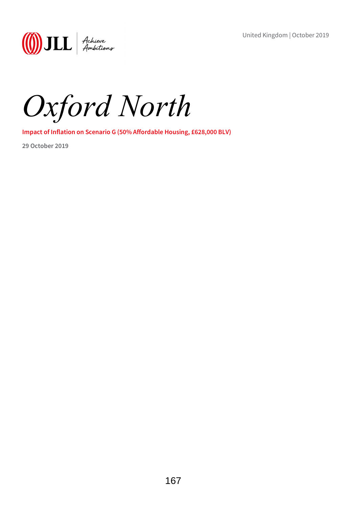United Kingdom | October 2019

**(1)** JLL Achieve

Oxford North

Impact of Inflation on Scenario G (50% Affordable Housing, £628,000 BLV)

29 October 2019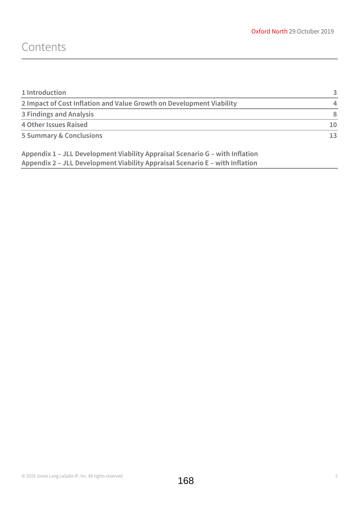## Contents

| 1 Introduction                                                       |     |
|----------------------------------------------------------------------|-----|
| 2 Impact of Cost Inflation and Value Growth on Development Viability |     |
| 3 Findings and Analysis                                              | 8   |
| <b>4 Other Issues Raised</b>                                         | 10  |
| <b>5 Summary &amp; Conclusions</b>                                   | 13. |

Appendix 1 – JLL Development Viability Appraisal Scenario G – with Inflation Appendix 2 – JLL Development Viability Appraisal Scenario E – with Inflation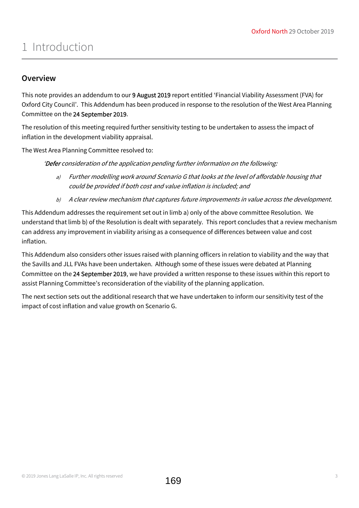## 1 Introduction

### **Overview**

This note provides an addendum to our 9 August 2019 report entitled 'Financial Viability Assessment (FVA) for Oxford City Council'. This Addendum has been produced in response to the resolution of the West Area Planning Committee on the 24 September 2019.

The resolution of this meeting required further sensitivity testing to be undertaken to assess the impact of inflation in the development viability appraisal.

The West Area Planning Committee resolved to:

'Defer consideration of the application pending further information on the following:

- a) Further modelling work around Scenario G that looks at the level of affordable housing that could be provided if both cost and value inflation is included; and
- b) A clear review mechanism that captures future improvements in value across the development.

This Addendum addresses the requirement set out in limb a) only of the above committee Resolution. We understand that limb b) of the Resolution is dealt with separately. This report concludes that a review mechanism can address any improvement in viability arising as a consequence of differences between value and cost inflation.

This Addendum also considers other issues raised with planning officers in relation to viability and the way that the Savills and JLL FVAs have been undertaken. Although some of these issues were debated at Planning Committee on the 24 September 2019, we have provided a written response to these issues within this report to assist Planning Committee's reconsideration of the viability of the planning application.

The next section sets out the additional research that we have undertaken to inform our sensitivity test of the impact of cost inflation and value growth on Scenario G.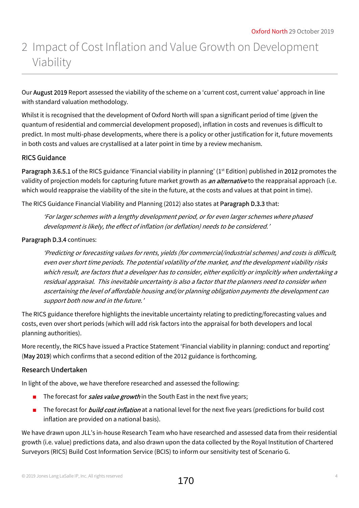# 2 Impact of Cost Inflation and Value Growth on Development Viability

Our August 2019 Report assessed the viability of the scheme on a 'current cost, current value' approach in line with standard valuation methodology.

Whilst it is recognised that the development of Oxford North will span a significant period of time (given the quantum of residential and commercial development proposed), inflation in costs and revenues is difficult to predict. In most multi-phase developments, where there is a policy or other justification for it, future movements in both costs and values are crystallised at a later point in time by a review mechanism.

### RICS Guidance

Paragraph 3.6.5.1 of the RICS guidance 'Financial viability in planning' (1<sup>st</sup> Edition) published in 2012 promotes the validity of projection models for capturing future market growth as *an alternative* to the reappraisal approach (i.e. which would reappraise the viability of the site in the future, at the costs and values at that point in time).

The RICS Guidance Financial Viability and Planning (2012) also states at Paragraph D.3.3 that:

'For larger schemes with a lengthy development period, or for even larger schemes where phased development is likely, the effect of inflation (or deflation) needs to be considered.'

### Paragraph D.3.4 continues:

'Predicting or forecasting values for rents, yields (for commercial/industrial schemes) and costs is difficult, even over short time periods. The potential volatility of the market, and the development viability risks which result, are factors that a developer has to consider, either explicitly or implicitly when undertaking a residual appraisal. This inevitable uncertainty is also a factor that the planners need to consider when ascertaining the level of affordable housing and/or planning obligation payments the development can support both now and in the future.'

The RICS guidance therefore highlights the inevitable uncertainty relating to predicting/forecasting values and costs, even over short periods (which will add risk factors into the appraisal for both developers and local planning authorities).

More recently, the RICS have issued a Practice Statement 'Financial viability in planning: conduct and reporting' (May 2019) which confirms that a second edition of the 2012 guidance is forthcoming.

### Research Undertaken

In light of the above, we have therefore researched and assessed the following:

- The forecast for *sales value growth* in the South East in the next five years;
- The forecast for *build cost inflation* at a national level for the next five years (predictions for build cost inflation are provided on a national basis).

We have drawn upon JLL's in-house Research Team who have researched and assessed data from their residential growth (i.e. value) predictions data, and also drawn upon the data collected by the Royal Institution of Chartered Surveyors (RICS) Build Cost Information Service (BCIS) to inform our sensitivity test of Scenario G.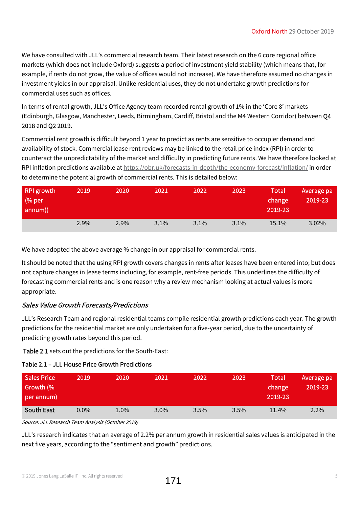We have consulted with JLL's commercial research team. Their latest research on the 6 core regional office markets (which does not include Oxford) suggests a period of investment yield stability (which means that, for example, if rents do not grow, the value of offices would not increase). We have therefore assumed no changes in investment yields in our appraisal. Unlike residential uses, they do not undertake growth predictions for commercial uses such as offices.

In terms of rental growth, JLL's Office Agency team recorded rental growth of 1% in the 'Core 8' markets (Edinburgh, Glasgow, Manchester, Leeds, Birmingham, Cardiff, Bristol and the M4 Western Corridor) between Q4 2018 and Q2 2019.

Commercial rent growth is difficult beyond 1 year to predict as rents are sensitive to occupier demand and availability of stock. Commercial lease rent reviews may be linked to the retail price index (RPI) in order to counteract the unpredictability of the market and difficulty in predicting future rents. We have therefore looked at RPI inflation predictions available at https://obr.uk/forecasts-in-depth/the-economy-forecast/inflation/ in order to determine the potential growth of commercial rents. This is detailed below:

| RPI growth<br>(% per<br>annum)) | 2019 | 2020    | 2021    | 2022 | 2023    | <b>Total</b><br>change<br>2019-23 | Average pa<br>2019-23 |
|---------------------------------|------|---------|---------|------|---------|-----------------------------------|-----------------------|
|                                 | 2.9% | $2.9\%$ | $3.1\%$ | 3.1% | $3.1\%$ | 15.1%                             | 3.02%                 |

We have adopted the above average % change in our appraisal for commercial rents.

It should be noted that the using RPI growth covers changes in rents after leases have been entered into; but does not capture changes in lease terms including, for example, rent-free periods. This underlines the difficulty of forecasting commercial rents and is one reason why a review mechanism looking at actual values is more appropriate.

### Sales Value Growth Forecasts/Predictions

JLL's Research Team and regional residential teams compile residential growth predictions each year. The growth predictions for the residential market are only undertaken for a five-year period, due to the uncertainty of predicting growth rates beyond this period.

Table 2.1 sets out the predictions for the South-East:

### Table 2.1 – JLL House Price Growth Predictions

| <b>Sales Price</b><br>Growth (%<br>per annum) | 2019    | 2020 | 2021    | 2022    | 2023    | <b>Total</b><br>change<br>2019-23 | Average pa<br>2019-23 |
|-----------------------------------------------|---------|------|---------|---------|---------|-----------------------------------|-----------------------|
| <b>South East</b>                             | $0.0\%$ | 1.0% | $3.0\%$ | $3.5\%$ | $3.5\%$ | $11.4\%$                          | $2.2\%$               |

Source: JLL Research Team Analysis (October 2019)

JLL's research indicates that an average of 2.2% per annum growth in residential sales values is anticipated in the next five years, according to the "sentiment and growth" predictions.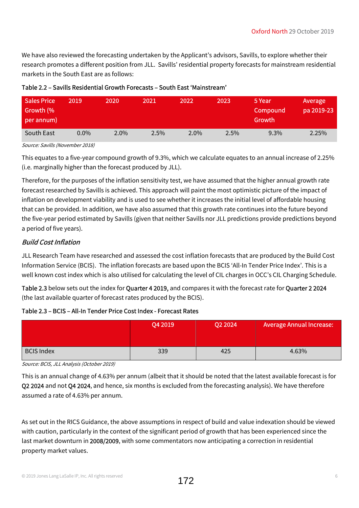We have also reviewed the forecasting undertaken by the Applicant's advisors, Savills, to explore whether their research promotes a different position from JLL. Savills' residential property forecasts for mainstream residential markets in the South East are as follows:

| <b>Sales Price</b><br>Growth (%<br>per annum) | 2019    | 2020    | 2021 | 2022    | 2023 | 5 Year<br>Compound<br>Growth | Average<br>pa 2019-23 |
|-----------------------------------------------|---------|---------|------|---------|------|------------------------------|-----------------------|
| South East                                    | $0.0\%$ | $2.0\%$ | 2.5% | $2.0\%$ | 2.5% | 9.3%                         | 2.25%                 |

### Table 2.2 – Savills Residential Growth Forecasts – South East 'Mainstream'

Source: Savills (November 2018)

This equates to a five-year compound growth of 9.3%, which we calculate equates to an annual increase of 2.25% (i.e. marginally higher than the forecast produced by JLL).

Therefore, for the purposes of the inflation sensitivity test, we have assumed that the higher annual growth rate forecast researched by Savills is achieved. This approach will paint the most optimistic picture of the impact of inflation on development viability and is used to see whether it increases the initial level of affordable housing that can be provided. In addition, we have also assumed that this growth rate continues into the future beyond the five-year period estimated by Savills (given that neither Savills nor JLL predictions provide predictions beyond a period of five years).

### Build Cost Inflation

JLL Research Team have researched and assessed the cost inflation forecasts that are produced by the Build Cost Information Service (BCIS). The inflation forecasts are based upon the BCIS 'All-In Tender Price Index'. This is a well known cost index which is also utilised for calculating the level of CIL charges in OCC's CIL Charging Schedule.

Table 2.3 below sets out the index for Quarter 4 2019, and compares it with the forecast rate for Quarter 2 2024 (the last available quarter of forecast rates produced by the BCIS).

### Table 2.3 – BCIS – All-In Tender Price Cost Index - Forecast Rates

|                   | Q4 2019 | Q2 2024 | <b>Average Annual Increase:</b> |
|-------------------|---------|---------|---------------------------------|
| <b>BCIS Index</b> | 339     | 425     | 4.63%                           |

Source: BCIS, JLL Analysis (October 2019)

This is an annual change of 4.63% per annum (albeit that it should be noted that the latest available forecast is for Q2 2024 and not Q4 2024, and hence, six months is excluded from the forecasting analysis). We have therefore assumed a rate of 4.63% per annum.

As set out in the RICS Guidance, the above assumptions in respect of build and value indexation should be viewed with caution, particularly in the context of the significant period of growth that has been experienced since the last market downturn in 2008/2009, with some commentators now anticipating a correction in residential property market values.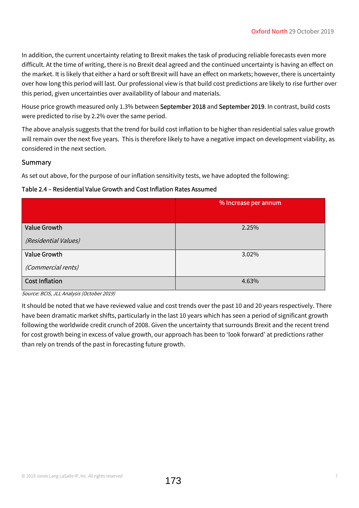In addition, the current uncertainty relating to Brexit makes the task of producing reliable forecasts even more difficult. At the time of writing, there is no Brexit deal agreed and the continued uncertainty is having an effect on the market. It is likely that either a hard or soft Brexit will have an effect on markets; however, there is uncertainty over how long this period will last. Our professional view is that build cost predictions are likely to rise further over this period, given uncertainties over availability of labour and materials.

House price growth measured only 1.3% between September 2018 and September 2019. In contrast, build costs were predicted to rise by 2.2% over the same period.

The above analysis suggests that the trend for build cost inflation to be higher than residential sales value growth will remain over the next five years. This is therefore likely to have a negative impact on development viability, as considered in the next section.

### Summary

As set out above, for the purpose of our inflation sensitivity tests, we have adopted the following:

### Table 2.4 – Residential Value Growth and Cost Inflation Rates Assumed

|                       | % Increase per annum |
|-----------------------|----------------------|
|                       |                      |
| <b>Value Growth</b>   | 2.25%                |
| (Residential Values)  |                      |
| <b>Value Growth</b>   | 3.02%                |
| (Commercial rents)    |                      |
| <b>Cost Inflation</b> | 4.63%                |

Source: BCIS, JLL Analysis (October 2019)

It should be noted that we have reviewed value and cost trends over the past 10 and 20 years respectively. There have been dramatic market shifts, particularly in the last 10 years which has seen a period of significant growth following the worldwide credit crunch of 2008. Given the uncertainty that surrounds Brexit and the recent trend for cost growth being in excess of value growth, our approach has been to 'look forward' at predictions rather than rely on trends of the past in forecasting future growth.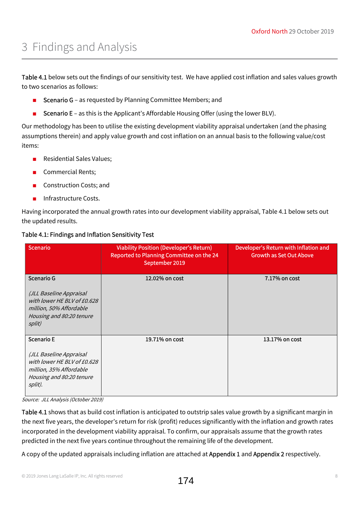# 3 Findings and Analysis

Table 4.1 below sets out the findings of our sensitivity test. We have applied cost inflation and sales values growth to two scenarios as follows:

- Scenario G as requested by Planning Committee Members; and
- **EXECT** Scenario E as this is the Applicant's Affordable Housing Offer (using the lower BLV).

Our methodology has been to utilise the existing development viability appraisal undertaken (and the phasing assumptions therein) and apply value growth and cost inflation on an annual basis to the following value/cost items:

- Residential Sales Values;
- Commercial Rents;
- Construction Costs; and
- Infrastructure Costs.

Having incorporated the annual growth rates into our development viability appraisal, Table 4.1 below sets out the updated results.

| <b>Scenario</b>                                                                                                                               | <b>Viability Position (Developer's Return)</b><br><b>Reported to Planning Committee on the 24</b><br>September 2019 | Developer's Return with Inflation and<br><b>Growth as Set Out Above</b> |
|-----------------------------------------------------------------------------------------------------------------------------------------------|---------------------------------------------------------------------------------------------------------------------|-------------------------------------------------------------------------|
| Scenario G<br>(JLL Baseline Appraisal<br>with lower HE BLV of £0.628<br>million, 50% Affordable<br>Housing and 80:20 tenure<br>split)         | 12.02% on cost                                                                                                      | 7.17% on cost                                                           |
| <b>Scenario E</b><br>(JLL Baseline Appraisal<br>with lower HE BLV of £0.628<br>million, 35% Affordable<br>Housing and 80:20 tenure<br>split). | 19.71% on cost                                                                                                      | 13.17% on cost                                                          |

### Table 4.1: Findings and Inflation Sensitivity Test

Source: JLL Analysis (October 2019)

Table 4.1 shows that as build cost inflation is anticipated to outstrip sales value growth by a significant margin in the next five years, the developer's return for risk (profit) reduces significantly with the inflation and growth rates incorporated in the development viability appraisal. To confirm, our appraisals assume that the growth rates predicted in the next five years continue throughout the remaining life of the development.

A copy of the updated appraisals including inflation are attached at Appendix 1 and Appendix 2 respectively.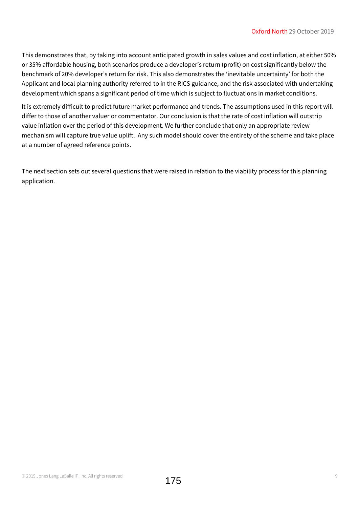This demonstrates that, by taking into account anticipated growth in sales values and cost inflation, at either 50% or 35% affordable housing, both scenarios produce a developer's return (profit) on cost significantly below the benchmark of 20% developer's return for risk. This also demonstrates the 'inevitable uncertainty' for both the Applicant and local planning authority referred to in the RICS guidance, and the risk associated with undertaking development which spans a significant period of time which is subject to fluctuations in market conditions.

It is extremely difficult to predict future market performance and trends. The assumptions used in this report will differ to those of another valuer or commentator. Our conclusion is that the rate of cost inflation will outstrip value inflation over the period of this development. We further conclude that only an appropriate review mechanism will capture true value uplift. Any such model should cover the entirety of the scheme and take place at a number of agreed reference points.

The next section sets out several questions that were raised in relation to the viability process for this planning application.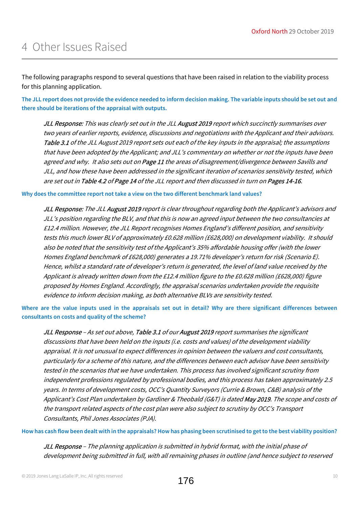The following paragraphs respond to several questions that have been raised in relation to the viability process for this planning application.

The JLL report does not provide the evidence needed to inform decision making. The variable inputs should be set out and there should be iterations of the appraisal with outputs.

JLL Response: This was clearly set out in the JLL August 2019 report which succinctly summarises over two years of earlier reports, evidence, discussions and negotiations with the Applicant and their advisors. Table 3.1 of the JLL August 2019 report sets out each of the key inputs in the appraisal; the assumptions that have been adopted by the Applicant; and JLL's commentary on whether or not the inputs have been agreed and why. It also sets out on Page 11 the areas of disagreement/divergence between Savills and JLL, and how these have been addressed in the significant iteration of scenarios sensitivity tested, which are set out in Table 4.2 of Page 14 of the JLL report and then discussed in turn on Pages 14-16.

Why does the committee report not take a view on the two different benchmark land values?

JLL Response: The JLL August 2019 report is clear throughout regarding both the Applicant's advisors and JLL's position regarding the BLV, and that this is now an agreed input between the two consultancies at £12.4 million. However, the JLL Report recognises Homes England's different position, and sensitivity tests this much lower BLV of approximately £0.628 million (£628,000) on development viability. It should also be noted that the sensitivity test of the Applicant's 35% affordable housing offer (with the lower Homes England benchmark of £628,000) generates a 19.71% developer's return for risk (Scenario E). Hence, whilst a standard rate of developer's return is generated, the level of land value received by the Applicant is already written down from the £12.4 million figure to the £0.628 million (£628,000) figure proposed by Homes England. Accordingly, the appraisal scenarios undertaken provide the requisite evidence to inform decision making, as both alternative BLVs are sensitivity tested.

Where are the value inputs used in the appraisals set out in detail? Why are there significant differences between consultants on costs and quality of the scheme?

JLL Response - As set out above, Table 3.1 of our August 2019 report summarises the significant discussions that have been held on the inputs (i.e. costs and values) of the development viability appraisal. It is not unusual to expect differences in opinion between the valuers and cost consultants, particularly for a scheme of this nature, and the differences between each advisor have been sensitivity tested in the scenarios that we have undertaken. This process has involved significant scrutiny from independent professions regulated by professional bodies, and this process has taken approximately 2.5 years. In terms of development costs, OCC's Quantity Surveyors (Currie & Brown, C&B) analysis of the Applicant's Cost Plan undertaken by Gardiner & Theobald (G&T) is dated May 2019. The scope and costs of the transport related aspects of the cost plan were also subject to scrutiny by OCC's Transport Consultants, Phil Jones Associates (PJA).

How has cash flow been dealt with in the appraisals? How has phasing been scrutinised to get to the best viability position?

JLL Response – The planning application is submitted in hybrid format, with the initial phase of development being submitted in full, with all remaining phases in outline (and hence subject to reserved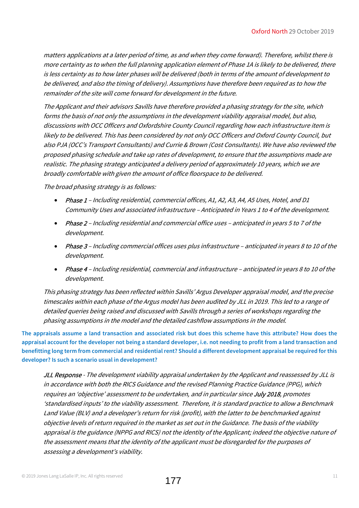matters applications at a later period of time, as and when they come forward). Therefore, whilst there is more certainty as to when the full planning application element of Phase 1A is likely to be delivered, there is less certainty as to how later phases will be delivered (both in terms of the amount of development to be delivered, and also the timing of delivery). Assumptions have therefore been required as to how the remainder of the site will come forward for development in the future.

The Applicant and their advisors Savills have therefore provided a phasing strategy for the site, which forms the basis of not only the assumptions in the development viability appraisal model, but also, discussions with OCC Officers and Oxfordshire County Council regarding how each infrastructure item is likely to be delivered. This has been considered by not only OCC Officers and Oxford County Council, but also PJA (OCC's Transport Consultants) and Currie & Brown (Cost Consultants). We have also reviewed the proposed phasing schedule and take up rates of development, to ensure that the assumptions made are realistic. The phasing strategy anticipated a delivery period of approximately 10 years, which we are broadly comfortable with given the amount of office floorspace to be delivered.

The broad phasing strategy is as follows:

- Phase 1 Including residential, commercial offices, A1, A2, A3, A4, A5 Uses, Hotel, and D1 Community Uses and associated infrastructure – Anticipated in Years 1 to 4 of the development.
- Phase 2 Including residential and commercial office uses anticipated in years 5 to 7 of the development.
- Phase 3 Including commercial offices uses plus infrastructure anticipated in years 8 to 10 of the development.
- Phase 4 Including residential, commercial and infrastructure anticipated in years 8 to 10 of the development.

This phasing strategy has been reflected within Savills' Argus Developer appraisal model, and the precise timescales within each phase of the Argus model has been audited by JLL in 2019. This led to a range of detailed queries being raised and discussed with Savills through a series of workshops regarding the phasing assumptions in the model and the detailed cashflow assumptions in the model.

The appraisals assume a land transaction and associated risk but does this scheme have this attribute? How does the appraisal account for the developer not being a standard developer, i.e. not needing to profit from a land transaction and benefitting long term from commercial and residential rent? Should a different development appraisal be required for this developer? Is such a scenario usual in development?

JLL Response - The development viability appraisal undertaken by the Applicant and reassessed by JLL is in accordance with both the RICS Guidance and the revised Planning Practice Guidance (PPG), which requires an 'objective' assessment to be undertaken, and in particular since July 2018, promotes 'standardised inputs' to the viability assessment. Therefore, it is standard practice to allow a Benchmark Land Value (BLV) and a developer's return for risk (profit), with the latter to be benchmarked against objective levels of return required in the market as set out in the Guidance. The basis of the viability appraisal is the guidance (NPPG and RICS) not the identity of the Applicant; indeed the objective nature of the assessment means that the identity of the applicant must be disregarded for the purposes of assessing a development's viability.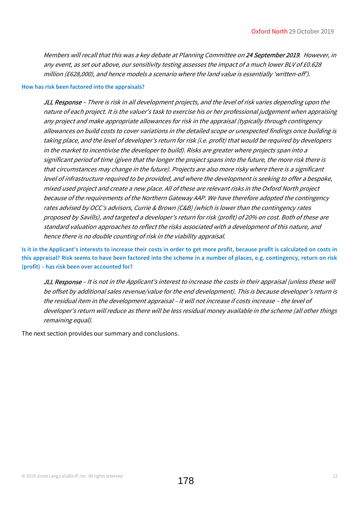Members will recall that this was a key debate at Planning Committee on 24 September 2019. However, in any event, as set out above, our sensitivity testing assesses the impact of a much lower BLV of £0.628 million (£628,000), and hence models a scenario where the land value is essentially 'written-off').

#### How has risk been factored into the appraisals?

JLL Response - There is risk in all development projects, and the level of risk varies depending upon the nature of each project. It is the valuer's task to exercise his or her professional judgement when appraising any project and make appropriate allowances for risk in the appraisal (typically through contingency allowances on build costs to cover variations in the detailed scope or unexpected findings once building is taking place, and the level of developer's return for risk (i.e. profit) that would be required by developers in the market to incentivise the developer to build). Risks are greater where projects span into a significant period of time (given that the longer the project spans into the future, the more risk there is that circumstances may change in the future). Projects are also more risky where there is a significant level of infrastructure required to be provided, and where the development is seeking to offer a bespoke, mixed used project and create a new place. All of these are relevant risks in the Oxford North project because of the requirements of the Northern Gateway AAP. We have therefore adopted the contingency rates advised by OCC's advisors, Currie & Brown (C&B) (which is lower than the contingency rates proposed by Savills), and targeted a developer's return for risk (profit) of 20% on cost. Both of these are standard valuation approaches to reflect the risks associated with a development of this nature, and hence there is no double counting of risk in the viability appraisal.

Is it in the Applicant's interests to increase their costs in order to get more profit, because profit is calculated on costs in this appraisal? Risk seems to have been factored into the scheme in a number of places, e.g. contingency, return on risk (profit) – has risk been over accounted for?

JLL Response – It is not in the Applicant's interest to increase the costs in their appraisal (unless these will be offset by additional sales revenue/value for the end development). This is because developer's return is the residual item in the development appraisal – it will not increase if costs increase – the level of developer's return will reduce as there will be less residual money available in the scheme (all other things remaining equal).

The next section provides our summary and conclusions.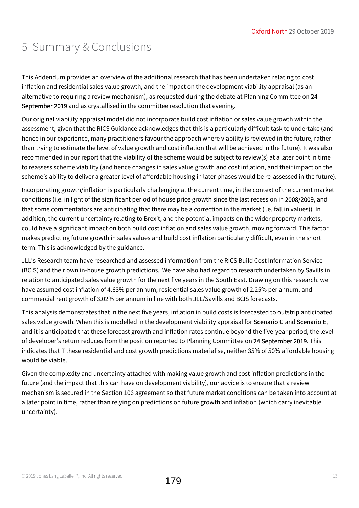## 5 Summary & Conclusions

This Addendum provides an overview of the additional research that has been undertaken relating to cost inflation and residential sales value growth, and the impact on the development viability appraisal (as an alternative to requiring a review mechanism), as requested during the debate at Planning Committee on 24 September 2019 and as crystallised in the committee resolution that evening.

Our original viability appraisal model did not incorporate build cost inflation or sales value growth within the assessment, given that the RICS Guidance acknowledges that this is a particularly difficult task to undertake (and hence in our experience, many practitioners favour the approach where viability is reviewed in the future, rather than trying to estimate the level of value growth and cost inflation that will be achieved in the future). It was also recommended in our report that the viability of the scheme would be subject to review(s) at a later point in time to reassess scheme viability (and hence changes in sales value growth and cost inflation, and their impact on the scheme's ability to deliver a greater level of affordable housing in later phases would be re-assessed in the future).

Incorporating growth/inflation is particularly challenging at the current time, in the context of the current market conditions (i.e. in light of the significant period of house price growth since the last recession in 2008/2009, and that some commentators are anticipating that there may be a correction in the market (i.e. fall in values)). In addition, the current uncertainty relating to Brexit, and the potential impacts on the wider property markets, could have a significant impact on both build cost inflation and sales value growth, moving forward. This factor makes predicting future growth in sales values and build cost inflation particularly difficult, even in the short term. This is acknowledged by the guidance.

JLL's Research team have researched and assessed information from the RICS Build Cost Information Service (BCIS) and their own in-house growth predictions. We have also had regard to research undertaken by Savills in relation to anticipated sales value growth for the next five years in the South East. Drawing on this research, we have assumed cost inflation of 4.63% per annum, residential sales value growth of 2.25% per annum, and commercial rent growth of 3.02% per annum in line with both JLL/Savills and BCIS forecasts.

This analysis demonstrates that in the next five years, inflation in build costs is forecasted to outstrip anticipated sales value growth. When this is modelled in the development viability appraisal for Scenario G and Scenario E, and it is anticipated that these forecast growth and inflation rates continue beyond the five-year period, the level of developer's return reduces from the position reported to Planning Committee on 24 September 2019. This indicates that if these residential and cost growth predictions materialise, neither 35% of 50% affordable housing would be viable.

Given the complexity and uncertainty attached with making value growth and cost inflation predictions in the future (and the impact that this can have on development viability), our advice is to ensure that a review mechanism is secured in the Section 106 agreement so that future market conditions can be taken into account at a later point in time, rather than relying on predictions on future growth and inflation (which carry inevitable uncertainty).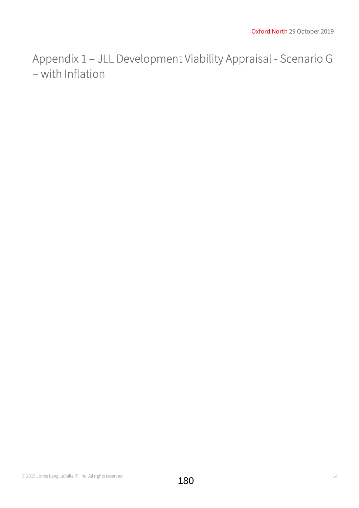Appendix 1 – JLL Development Viability Appraisal - Scenario G – with Inflation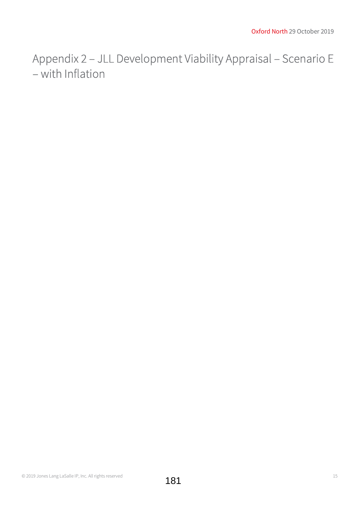Appendix 2 – JLL Development Viability Appraisal – Scenario E – with Inflation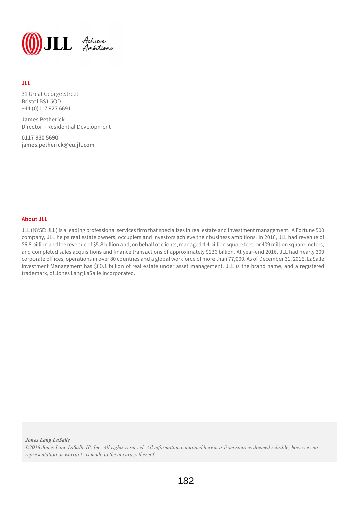

#### JLL

31 Great George Street Bristol BS1 5QD +44 (0)117 927 6691

James Petherick Director – Residential Development

0117 930 5690 james.petherick@eu.jll.com

#### About JLL

JLL (NYSE: JLL) is a leading professional services firm that specializes in real estate and investment management. A Fortune 500 company, JLL helps real estate owners, occupiers and investors achieve their business ambitions. In 2016, JLL had revenue of \$6.8 billion and fee revenue of \$5.8 billion and, on behalf of clients, managed 4.4 billion square feet, or 409 million square meters, and completed sales acquisitions and finance transactions of approximately \$136 billion. At year-end 2016, JLL had nearly 300 corporate offices, operations in over 80 countries and a global workforce of more than 77,000. As of December 31, 2016, LaSalle Investment Management has \$60.1 billion of real estate under asset management. JLL is the brand name, and a registered trademark, of Jones Lang LaSalle Incorporated.

Jones Lang LaSalle

©2018 Jones Lang LaSalle IP, Inc. All rights reserved. All information contained herein is from sources deemed reliable; however, no representation or warranty is made to the accuracy thereof.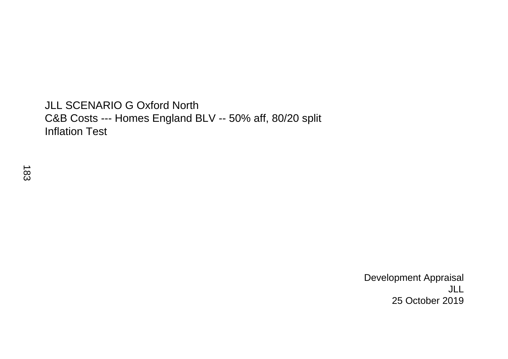## JLL SCENARIO G Oxford North C&B Costs --- Homes England BLV -- 50% aff, 80/20 split Inflation Test

 Development Appraisal JLL 25 October 2019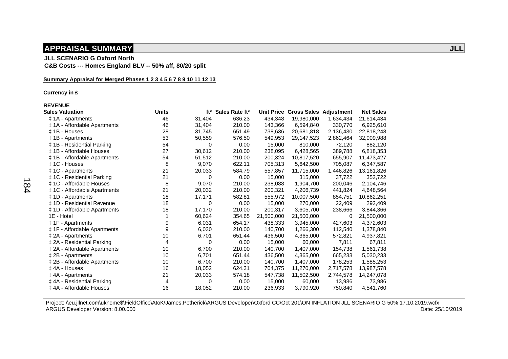### **APPRAISAL SUMMARY**  *APPRAISAL SUMMARY APPRAISAL SUMMARY APPRAISAL SUMMARY*

 **JLL SCENARIO G Oxford North** 

 **C&B Costs --- Homes England BLV -- 50% aff, 80/20 split** 

#### **Summary Appraisal for Merged Phases 1 2 3 4 5 6 7 8 9 10 11 12 13**

 **Currency in £** 

#### **REVENUE**

| <b>Sales Valuation</b>           | <b>Units</b> | ft <sup>2</sup> | Sales Rate ft <sup>2</sup> | Unit Price | <b>Gross Sales Adjustment</b> |           | <b>Net Sales</b> |
|----------------------------------|--------------|-----------------|----------------------------|------------|-------------------------------|-----------|------------------|
| ‡ 1A - Apartments                | 46           | 31,404          | 636.23                     | 434,348    | 19,980,000                    | 1,634,434 | 21,614,434       |
| ‡ 1A - Affordable Apartments     | 46           | 31,404          | 210.00                     | 143,366    | 6,594,840                     | 330,770   | 6,925,610        |
| ± 1B - Houses                    | 28           | 31,745          | 651.49                     | 738,636    | 20,681,818                    | 2,136,430 | 22,818,248       |
| ‡ 1B - Apartments                | 53           | 50,559          | 576.50                     | 549,953    | 29,147,523                    | 2,862,464 | 32,009,988       |
| <b>‡1B - Residential Parking</b> | 54           | 0               | 0.00                       | 15,000     | 810,000                       | 72,120    | 882,120          |
| ‡ 1B - Affordable Houses         | 27           | 30,612          | 210.00                     | 238,095    | 6,428,565                     | 389,788   | 6,818,353        |
| ‡ 1B - Affordable Apartments     | 54           | 51,512          | 210.00                     | 200,324    | 10,817,520                    | 655,907   | 11,473,427       |
| ± 1C - Houses                    | 8            | 9,070           | 622.11                     | 705,313    | 5,642,500                     | 705,087   | 6,347,587        |
| ± 1C - Apartments                | 21           | 20,033          | 584.79                     | 557,857    | 11,715,000                    | 1,446,826 | 13,161,826       |
| ‡ 1C - Residential Parking       | 21           | 0               | 0.00                       | 15,000     | 315,000                       | 37,722    | 352,722          |
| ‡ 1C - Affordable Houses         | 8            | 9,070           | 210.00                     | 238,088    | 1,904,700                     | 200,046   | 2,104,746        |
| ‡ 1C - Affordable Apartments     | 21           | 20,032          | 210.00                     | 200,321    | 4,206,739                     | 441,824   | 4,648,564        |
| ‡ 1D - Apartments                | 18           | 17,171          | 582.81                     | 555,972    | 10,007,500                    | 854,751   | 10,862,251       |
| ‡ 1D - Residential Revenue       | 18           | 0               | 0.00                       | 15,000     | 270,000                       | 22,409    | 292,409          |
| ‡ 1D - Affordable Apartments     | 18           | 17,170          | 210.00                     | 200,317    | 3,605,700                     | 238,666   | 3,844,366        |
| 1E - Hotel                       |              | 60,624          | 354.65                     | 21,500,000 | 21,500,000                    | 0         | 21,500,000       |
| ‡ 1F - Apartments                | 9            | 6,031           | 654.17                     | 438,333    | 3,945,000                     | 427,603   | 4,372,603        |
| ‡ 1F - Affordable Apartments     | 9            | 6,030           | 210.00                     | 140,700    | 1,266,300                     | 112,540   | 1,378,840        |
| $\ddagger$ 2A - Apartments       | 10           | 6,701           | 651.44                     | 436,500    | 4,365,000                     | 572,821   | 4,937,821        |
| ‡ 2A - Residential Parking       | 4            | 0               | 0.00                       | 15,000     | 60,000                        | 7,811     | 67,811           |
| ‡ 2A - Affordable Apartments     | 10           | 6,700           | 210.00                     | 140,700    | 1,407,000                     | 154,738   | 1,561,738        |
| ‡ 2B - Apartments                | 10           | 6,701           | 651.44                     | 436,500    | 4,365,000                     | 665,233   | 5,030,233        |
| ‡ 2B - Affordable Apartments     | 10           | 6,700           | 210.00                     | 140,700    | 1,407,000                     | 178,253   | 1,585,253        |
| ‡ 4A - Houses                    | 16           | 18,052          | 624.31                     | 704,375    | 11,270,000                    | 2,717,578 | 13,987,578       |
| ‡ 4A - Apartments                | 21           | 20,033          | 574.18                     | 547,738    | 11,502,500                    | 2,744,578 | 14,247,078       |
| ‡ 4A - Residential Parking       | 4            | 0               | 0.00                       | 15,000     | 60,000                        | 13,986    | 73,986           |
| ‡4A - Affordable Houses          | 16           | 18,052          | 210.00                     | 236,933    | 3,790,920                     | 750,840   | 4,541,760        |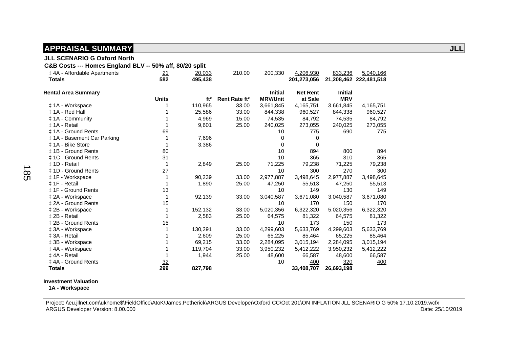#### **JLL SCENARIO G Oxford North**

 **C&B Costs --- Homes England BLV -- 50% aff, 80/20 split** 

| ‡4A - Affordable Apartments<br><b>Totals</b> | 21<br>582      | 20,033<br>495,438 | 210.00                    | 200,330                           | 4,206,930<br>201,273,056   | 833,236                      | 5,040,166<br>21,208,462 222,481,518 |
|----------------------------------------------|----------------|-------------------|---------------------------|-----------------------------------|----------------------------|------------------------------|-------------------------------------|
| <b>Rental Area Summary</b>                   | <b>Units</b>   | ft <sup>2</sup>   | Rent Rate ft <sup>2</sup> | <b>Initial</b><br><b>MRV/Unit</b> | <b>Net Rent</b><br>at Sale | <b>Initial</b><br><b>MRV</b> |                                     |
| ‡ 1A - Workspace                             |                | 110,965           | 33.00                     | 3,661,845                         | 4,165,751                  | 3,661,845                    | 4,165,751                           |
| ‡ 1A - Red Hall                              |                | 25,586            | 33.00                     | 844,338                           | 960,527                    | 844,338                      | 960,527                             |
| #1A - Community                              |                | 4,969             | 15.00                     | 74,535                            | 84,792                     | 74,535                       | 84,792                              |
| ‡ 1A - Retail                                |                | 9,601             | 25.00                     | 240,025                           | 273,055                    | 240,025                      | 273,055                             |
| ‡ 1A - Ground Rents                          | 69             |                   |                           | 10                                | 775                        | 690                          | 775                                 |
| ‡ 1A - Basement Car Parking                  |                | 7,696             |                           | 0                                 | 0                          |                              |                                     |
| ‡ 1A - Bike Store                            |                | 3,386             |                           | $\Omega$                          | 0                          |                              |                                     |
| ‡ 1B - Ground Rents                          | 80             |                   |                           | 10                                | 894                        | 800                          | 894                                 |
| ‡ 1C - Ground Rents                          | 31             |                   |                           | 10                                | 365                        | 310                          | 365                                 |
| ± 1D - Retail                                |                | 2,849             | 25.00                     | 71,225                            | 79,238                     | 71,225                       | 79,238                              |
| # 1D - Ground Rents                          | 27             |                   |                           | 10                                | 300                        | 270                          | 300                                 |
| ‡ 1F - Workspace                             |                | 90,239            | 33.00                     | 2,977,887                         | 3,498,645                  | 2,977,887                    | 3,498,645                           |
| ± 1F - Retail                                |                | 1,890             | 25.00                     | 47,250                            | 55,513                     | 47,250                       | 55,513                              |
| ± 1F - Ground Rents                          | 13             |                   |                           | 10                                | 149                        | 130                          | 149                                 |
| ‡ 2A - Workspace                             |                | 92,139            | 33.00                     | 3,040,587                         | 3,671,080                  | 3,040,587                    | 3,671,080                           |
| ± 2A - Ground Rents                          | 15             |                   |                           | 10                                | 170                        | 150                          | 170                                 |
| ‡ 2B - Workspace                             |                | 152,132           | 33.00                     | 5,020,356                         | 6,322,320                  | 5,020,356                    | 6,322,320                           |
| ± 2B - Retail                                |                | 2,583             | 25.00                     | 64,575                            | 81,322                     | 64,575                       | 81,322                              |
| ‡ 2B - Ground Rents                          | 15             |                   |                           | 10                                | 173                        | 150                          | 173                                 |
| ‡ 3A - Workspace                             |                | 130,291           | 33.00                     | 4,299,603                         | 5,633,769                  | 4,299,603                    | 5,633,769                           |
| ‡ 3A - Retail                                |                | 2,609             | 25.00                     | 65,225                            | 85,464                     | 65,225                       | 85,464                              |
| ‡ 3B - Workspace                             |                | 69,215            | 33.00                     | 2,284,095                         | 3,015,194                  | 2,284,095                    | 3,015,194                           |
| ‡4A - Workspace                              |                | 119,704           | 33.00                     | 3,950,232                         | 5,412,222                  | 3,950,232                    | 5,412,222                           |
| ‡4A - Retail                                 |                | 1,944             | 25.00                     | 48,600                            | 66,587                     | 48,600                       | 66,587                              |
| ‡4A - Ground Rents                           | $\frac{32}{2}$ |                   |                           | 10                                | 400                        | 320                          | 400                                 |
| <b>Totals</b>                                | 299            | 827,798           |                           |                                   | 33,408,707                 | 26,693,198                   |                                     |

#### **Investment Valuation**

 **1A - Workspace**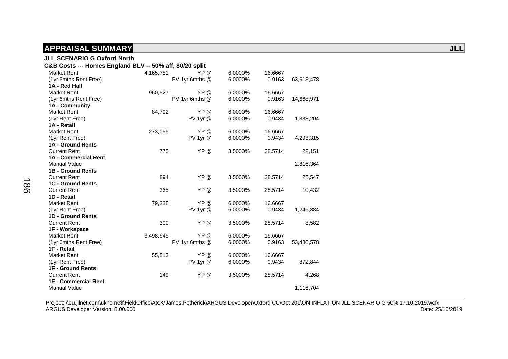| <b>JLL SCENARIO G Oxford North</b>                      |           |                |         |         |            |
|---------------------------------------------------------|-----------|----------------|---------|---------|------------|
| C&B Costs --- Homes England BLV -- 50% aff, 80/20 split |           |                |         |         |            |
| <b>Market Rent</b>                                      | 4,165,751 | YP @           | 6.0000% | 16.6667 |            |
| (1yr 6mths Rent Free)                                   |           | PV 1yr 6mths @ | 6.0000% | 0.9163  | 63,618,478 |
| 1A - Red Hall                                           |           |                |         |         |            |
| <b>Market Rent</b>                                      | 960,527   | YP @           | 6.0000% | 16.6667 |            |
| (1yr 6mths Rent Free)                                   |           | PV 1yr 6mths @ | 6.0000% | 0.9163  | 14,668,971 |
| 1A - Community                                          |           |                |         |         |            |
| <b>Market Rent</b>                                      | 84,792    | YP @           | 6.0000% | 16.6667 |            |
| (1yr Rent Free)                                         |           | $PV$ 1yr $@$   | 6.0000% | 0.9434  | 1,333,204  |
| 1A - Retail                                             |           |                |         |         |            |
| <b>Market Rent</b>                                      | 273,055   | YP @           | 6.0000% | 16.6667 |            |
| (1yr Rent Free)                                         |           | PV 1yr @       | 6.0000% | 0.9434  | 4,293,315  |
| 1A - Ground Rents                                       |           |                |         |         |            |
| <b>Current Rent</b>                                     | 775       | YP @           | 3.5000% | 28.5714 | 22,151     |
| 1A - Commercial Rent                                    |           |                |         |         |            |
| <b>Manual Value</b>                                     |           |                |         |         | 2,816,364  |
| <b>1B - Ground Rents</b>                                |           |                |         |         |            |
| <b>Current Rent</b>                                     | 894       | YP @           | 3.5000% | 28.5714 | 25,547     |
| <b>1C - Ground Rents</b>                                |           |                |         |         |            |
| <b>Current Rent</b>                                     | 365       | YP @           | 3.5000% | 28.5714 | 10,432     |
| 1D - Retail                                             |           |                |         |         |            |
| <b>Market Rent</b>                                      | 79,238    | YP @           | 6.0000% | 16.6667 |            |
| (1yr Rent Free)                                         |           | PV 1yr @       | 6.0000% | 0.9434  | 1,245,884  |
| 1D - Ground Rents                                       |           |                |         |         |            |
| <b>Current Rent</b>                                     | 300       | YP @           | 3.5000% | 28.5714 | 8,582      |
| 1F - Workspace                                          |           |                |         |         |            |
| <b>Market Rent</b>                                      | 3,498,645 | YP @           | 6.0000% | 16.6667 |            |
| (1yr 6mths Rent Free)                                   |           | PV 1yr 6mths @ | 6.0000% | 0.9163  | 53,430,578 |
| 1F - Retail                                             |           |                |         |         |            |
| <b>Market Rent</b>                                      | 55,513    | YP @           | 6.0000% | 16.6667 |            |
| (1yr Rent Free)                                         |           | $PV$ 1yr $@$   | 6.0000% | 0.9434  | 872,844    |
| <b>1F - Ground Rents</b>                                |           |                |         |         |            |
| <b>Current Rent</b>                                     | 149       | YP @           | 3.5000% | 28.5714 | 4,268      |
| <b>1F - Commercial Rent</b>                             |           |                |         |         |            |
| <b>Manual Value</b>                                     |           |                |         |         | 1,116,704  |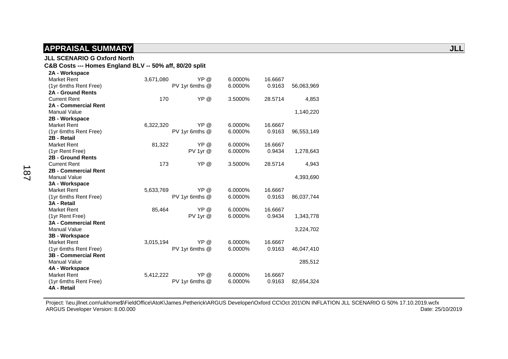#### **JLL SCENARIO G Oxford North**

#### **C&B Costs --- Homes England BLV -- 50% aff, 80/20 split**

| 2A - Workspace              |           |                |         |         |            |
|-----------------------------|-----------|----------------|---------|---------|------------|
| <b>Market Rent</b>          | 3,671,080 | YP @           | 6.0000% | 16.6667 |            |
| (1yr 6mths Rent Free)       |           | PV 1yr 6mths @ | 6.0000% | 0.9163  | 56,063,969 |
| <b>2A - Ground Rents</b>    |           |                |         |         |            |
| <b>Current Rent</b>         | 170       | YP @           | 3.5000% | 28.5714 | 4,853      |
| <b>2A - Commercial Rent</b> |           |                |         |         |            |
| <b>Manual Value</b>         |           |                |         |         | 1,140,220  |
| 2B - Workspace              |           |                |         |         |            |
| <b>Market Rent</b>          | 6,322,320 | YP @           | 6.0000% | 16.6667 |            |
| (1yr 6mths Rent Free)       |           | PV 1yr 6mths @ | 6.0000% | 0.9163  | 96,553,149 |
| 2B - Retail                 |           |                |         |         |            |
| <b>Market Rent</b>          | 81,322    | YP @           | 6.0000% | 16.6667 |            |
| (1yr Rent Free)             |           | PV 1yr @       | 6.0000% | 0.9434  | 1,278,643  |
| 2B - Ground Rents           |           |                |         |         |            |
| <b>Current Rent</b>         | 173       | YP @           | 3.5000% | 28.5714 | 4,943      |
| 2B - Commercial Rent        |           |                |         |         |            |
| <b>Manual Value</b>         |           |                |         |         | 4,393,690  |
| 3A - Workspace              |           |                |         |         |            |
| <b>Market Rent</b>          | 5,633,769 | YP @           | 6.0000% | 16.6667 |            |
| (1yr 6mths Rent Free)       |           | PV 1yr 6mths @ | 6.0000% | 0.9163  | 86,037,744 |
| 3A - Retail                 |           |                |         |         |            |
| <b>Market Rent</b>          | 85,464    | YP @           | 6.0000% | 16.6667 |            |
| (1yr Rent Free)             |           | PV 1yr @       | 6.0000% | 0.9434  | 1,343,778  |
| <b>3A - Commercial Rent</b> |           |                |         |         |            |
| <b>Manual Value</b>         |           |                |         |         | 3,224,702  |
| 3B - Workspace              |           |                |         |         |            |
| <b>Market Rent</b>          | 3,015,194 | YP @           | 6.0000% | 16.6667 |            |
| (1yr 6mths Rent Free)       |           | PV 1yr 6mths @ | 6.0000% | 0.9163  | 46,047,410 |
| <b>3B - Commercial Rent</b> |           |                |         |         |            |
| <b>Manual Value</b>         |           |                |         |         | 285,512    |
| 4A - Workspace              |           |                |         |         |            |
| <b>Market Rent</b>          | 5,412,222 | YP @           | 6.0000% | 16.6667 |            |
| (1yr 6mths Rent Free)       |           | PV 1yr 6mths @ | 6.0000% | 0.9163  | 82,654,324 |
| 4A - Retail                 |           |                |         |         |            |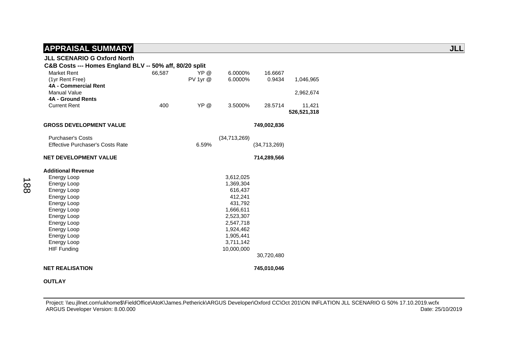| <b>JLL SCENARIO G Oxford North</b>                      |        |              |              |              |             |
|---------------------------------------------------------|--------|--------------|--------------|--------------|-------------|
| C&B Costs --- Homes England BLV -- 50% aff, 80/20 split |        |              |              |              |             |
| <b>Market Rent</b>                                      | 66,587 | YP @         | 6.0000%      | 16.6667      |             |
| (1yr Rent Free)                                         |        | $PV$ 1yr $@$ | 6.0000%      | 0.9434       | 1,046,965   |
| 4A - Commercial Rent                                    |        |              |              |              |             |
| <b>Manual Value</b>                                     |        |              |              |              | 2,962,674   |
| <b>4A - Ground Rents</b>                                |        |              |              |              |             |
| <b>Current Rent</b>                                     | 400    | YP @         | 3.5000%      | 28.5714      | 11,421      |
|                                                         |        |              |              |              | 526,521,318 |
| <b>GROSS DEVELOPMENT VALUE</b>                          |        |              |              | 749,002,836  |             |
|                                                         |        |              |              |              |             |
| <b>Purchaser's Costs</b>                                |        |              | (34,713,269) |              |             |
| <b>Effective Purchaser's Costs Rate</b>                 |        | 6.59%        |              | (34,713,269) |             |
|                                                         |        |              |              |              |             |
| <b>NET DEVELOPMENT VALUE</b>                            |        |              |              | 714,289,566  |             |
| <b>Additional Revenue</b>                               |        |              |              |              |             |
| <b>Energy Loop</b>                                      |        |              | 3,612,025    |              |             |
| Energy Loop                                             |        |              | 1,369,304    |              |             |
| Energy Loop                                             |        |              | 616,437      |              |             |
| Energy Loop                                             |        |              | 412.241      |              |             |
| Energy Loop                                             |        |              | 431,792      |              |             |
| Energy Loop                                             |        |              | 1,666,611    |              |             |
| Energy Loop                                             |        |              | 2,523,307    |              |             |
| Energy Loop                                             |        |              | 2,547,718    |              |             |
| Energy Loop                                             |        |              | 1,924,462    |              |             |
| Energy Loop                                             |        |              | 1,905,441    |              |             |
| <b>Energy Loop</b>                                      |        |              | 3,711,142    |              |             |
| <b>HIF Funding</b>                                      |        |              | 10,000,000   |              |             |
|                                                         |        |              |              | 30,720,480   |             |
| <b>NET REALISATION</b>                                  |        |              |              | 745,010,046  |             |

#### **OUTLAY**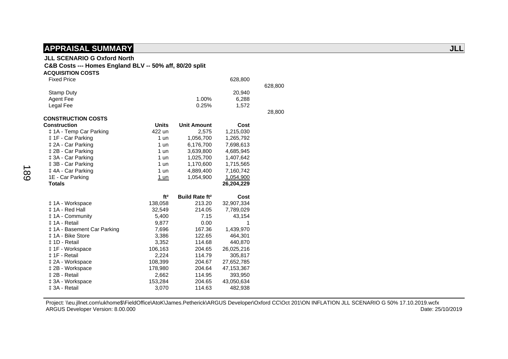### **JLL SCENARIO G Oxford North**

#### **C&B Costs --- Homes England BLV -- 50% aff, 80/20 split**

| <b>ACQUISITION COSTS</b>    |                 |                                  |            |         |
|-----------------------------|-----------------|----------------------------------|------------|---------|
| <b>Fixed Price</b>          |                 |                                  | 628,800    |         |
|                             |                 |                                  |            | 628,800 |
| <b>Stamp Duty</b>           |                 |                                  | 20,940     |         |
| <b>Agent Fee</b>            |                 | 1.00%                            | 6,288      |         |
| Legal Fee                   |                 | 0.25%                            | 1,572      |         |
|                             |                 |                                  |            | 28,800  |
| <b>CONSTRUCTION COSTS</b>   |                 |                                  |            |         |
| <b>Construction</b>         | <b>Units</b>    | <b>Unit Amount</b>               | Cost       |         |
| ‡ 1A - Temp Car Parking     | 422 un          | 2,575                            | 1,215,030  |         |
| ‡ 1F - Car Parking          | 1 un            | 1,056,700                        | 1,265,792  |         |
| ‡ 2A - Car Parking          | $1$ un          | 6,176,700                        | 7,698,613  |         |
| ‡ 2B - Car Parking          | $1$ un          | 3,639,800                        | 4,685,945  |         |
| ‡ 3A - Car Parking          | 1 un            | 1,025,700                        | 1,407,642  |         |
| ‡ 3B - Car Parking          | 1 un            | 1,170,600                        | 1,715,565  |         |
| ‡4A - Car Parking           | $1$ un          | 4,889,400                        | 7,160,742  |         |
| 1E - Car Parking            | 1 un            | 1,054,900                        | 1,054,900  |         |
| <b>Totals</b>               |                 |                                  | 26,204,229 |         |
|                             |                 |                                  |            |         |
|                             | ft <sup>2</sup> | <b>Build Rate ft<sup>2</sup></b> | Cost       |         |
| ‡ 1A - Workspace            | 138,058         | 213.20                           | 32,907,334 |         |
| ± 1A - Red Hall             | 32,549          | 214.05                           | 7,789,029  |         |
| #1A - Community             | 5,400           | 7.15                             | 43,154     |         |
| ± 1A - Retail               | 9,877           | 0.00                             | 1          |         |
| ‡ 1A - Basement Car Parking | 7,696           | 167.36                           | 1,439,970  |         |
| ‡ 1A - Bike Store           | 3,386           | 122.65                           | 464,301    |         |
| ± 1D - Retail               | 3,352           | 114.68                           | 440,870    |         |
| ‡ 1F - Workspace            | 106,163         | 204.65                           | 26,025,216 |         |
| ‡ 1F - Retail               | 2,224           | 114.79                           | 305,817    |         |
| ‡ 2A - Workspace            | 108,399         | 204.67                           | 27,652,785 |         |
| ‡ 2B - Workspace            | 178,980         | 204.64                           | 47,153,367 |         |
| ± 2B - Retail               | 2,662           | 114.95                           | 393,950    |         |
| ‡ 3A - Workspace            | 153,284         | 204.65                           | 43,050,634 |         |
| ± 3A - Retail               | 3,070           | 114.63                           | 482,938    |         |

Project: \\eu.jllnet.com\ukhome\$\FieldOffice\AtoK\James.Petherick\ARGUS Developer\Oxford CC\Oct 201\ON INFLATION JLL SCENARIO G 50% 17.10.2019.wcfx<br>Date: 25/10/2019 Date: 25/10/2019 ARGUS Developer Version: 8.00.000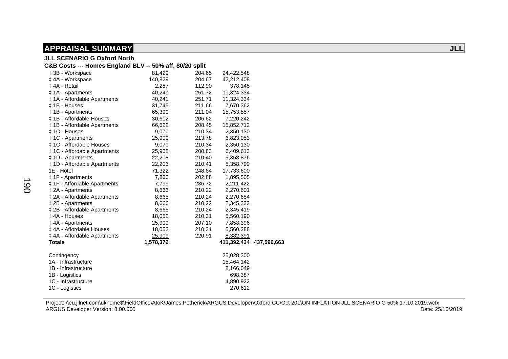|                                                         | <b>JLL SCENARIO G Oxford North</b> |        |                         |  |  |  |
|---------------------------------------------------------|------------------------------------|--------|-------------------------|--|--|--|
| C&B Costs --- Homes England BLV -- 50% aff, 80/20 split |                                    |        |                         |  |  |  |
| ‡ 3B - Workspace                                        | 81,429                             | 204.65 | 24,422,548              |  |  |  |
| ‡4A - Workspace                                         | 140,829                            | 204.67 | 42,212,408              |  |  |  |
| ‡4A - Retail                                            | 2,287                              | 112.90 | 378,145                 |  |  |  |
| ‡ 1A - Apartments                                       | 40,241                             | 251.72 | 11,324,334              |  |  |  |
| ‡ 1A - Affordable Apartments                            | 40,241                             | 251.71 | 11,324,334              |  |  |  |
| ‡1B - Houses                                            | 31,745                             | 211.66 | 7,670,362               |  |  |  |
| #1B - Apartments                                        | 65,390                             | 211.04 | 15,753,557              |  |  |  |
| ‡ 1B - Affordable Houses                                | 30,612                             | 206.62 | 7,220,242               |  |  |  |
| ‡ 1B - Affordable Apartments                            | 66,622                             | 208.45 | 15,852,712              |  |  |  |
| ± 1C - Houses                                           | 9,070                              | 210.34 | 2,350,130               |  |  |  |
| ‡ 1C - Apartments                                       | 25,909                             | 213.78 | 6,823,053               |  |  |  |
| ‡ 1C - Affordable Houses                                | 9,070                              | 210.34 | 2,350,130               |  |  |  |
| ‡ 1C - Affordable Apartments                            | 25,908                             | 200.83 | 6,409,613               |  |  |  |
| #1D - Apartments                                        | 22,208                             | 210.40 | 5,358,876               |  |  |  |
| <b>‡1D</b> - Affordable Apartments                      | 22,206                             | 210.41 | 5,358,799               |  |  |  |
| 1E - Hotel                                              | 71,322                             | 248.64 | 17,733,600              |  |  |  |
| ‡ 1F - Apartments                                       | 7,800                              | 202.88 | 1,895,505               |  |  |  |
| ‡ 1F - Affordable Apartments                            | 7,799                              | 236.72 | 2,211,422               |  |  |  |
| ‡ 2A - Apartments                                       | 8,666                              | 210.22 | 2,270,601               |  |  |  |
| ‡ 2A - Affordable Apartments                            | 8,665                              | 210.24 | 2,270,684               |  |  |  |
| ‡ 2B - Apartments                                       | 8,666                              | 210.22 | 2,345,333               |  |  |  |
| ‡ 2B - Affordable Apartments                            | 8,665                              | 210.24 | 2,345,419               |  |  |  |
| ‡4A - Houses                                            | 18,052                             | 210.31 | 5,560,190               |  |  |  |
| ‡4A - Apartments                                        | 25,909                             | 207.10 | 7,858,396               |  |  |  |
| ‡ 4A - Affordable Houses                                | 18,052                             | 210.31 | 5,560,288               |  |  |  |
| ‡ 4A - Affordable Apartments                            | 25,909                             | 220.91 | 8,382,391               |  |  |  |
| <b>Totals</b>                                           | 1,578,372                          |        | 411,392,434 437,596,663 |  |  |  |
| Contingency                                             |                                    |        | 25,028,300              |  |  |  |
| 1A - Infrastructure                                     |                                    |        | 15,464,142              |  |  |  |
| 1B - Infrastructure                                     |                                    |        | 8,166,049               |  |  |  |
| 1B - Logistics                                          |                                    |        | 698,387                 |  |  |  |
| 1C - Infrastructure                                     |                                    |        | 4,890,922               |  |  |  |
| 1C - Logistics                                          |                                    |        | 270,612                 |  |  |  |
|                                                         |                                    |        |                         |  |  |  |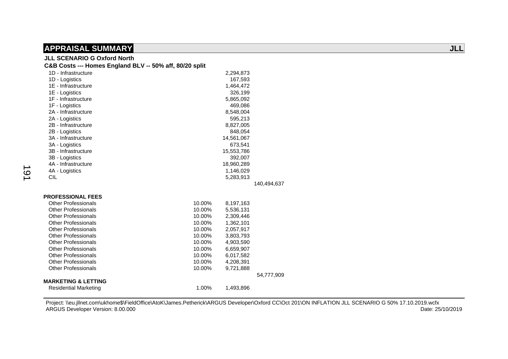## **JLL SCENARIO G Oxford North**

| C&B Costs --- Homes England BLV -- 50% aff, 80/20 split |        |            |             |
|---------------------------------------------------------|--------|------------|-------------|
| 1D - Infrastructure                                     |        | 2,294,873  |             |
| 1D - Logistics                                          |        | 167,593    |             |
| 1E - Infrastructure                                     |        | 1,464,472  |             |
| 1E - Logistics                                          |        | 326,199    |             |
| 1F - Infrastructure                                     |        | 5,865,092  |             |
| 1F - Logistics                                          |        | 469,086    |             |
| 2A - Infrastructure                                     |        | 8,548,004  |             |
| 2A - Logistics                                          |        | 595,213    |             |
| 2B - Infrastructure                                     |        | 8,827,005  |             |
| 2B - Logistics                                          |        | 848,054    |             |
| 3A - Infrastructure                                     |        | 14,561,067 |             |
| 3A - Logistics                                          |        | 673,541    |             |
| 3B - Infrastructure                                     |        | 15,553,786 |             |
| 3B - Logistics                                          |        | 392,007    |             |
| 4A - Infrastructure                                     |        | 18,960,289 |             |
| 4A - Logistics                                          |        | 1,146,029  |             |
| <b>CIL</b>                                              |        | 5,283,913  |             |
|                                                         |        |            | 140,494,637 |
| <b>PROFESSIONAL FEES</b>                                |        |            |             |
| <b>Other Professionals</b>                              | 10.00% | 8,197,163  |             |
| <b>Other Professionals</b>                              | 10.00% | 5,536,131  |             |
| <b>Other Professionals</b>                              | 10.00% | 2,309,446  |             |
| <b>Other Professionals</b>                              | 10.00% | 1,362,101  |             |
| <b>Other Professionals</b>                              | 10.00% | 2,057,917  |             |
| <b>Other Professionals</b>                              | 10.00% | 3,803,793  |             |
| <b>Other Professionals</b>                              | 10.00% | 4,903,590  |             |
| <b>Other Professionals</b>                              | 10.00% | 6,659,907  |             |
| <b>Other Professionals</b>                              | 10.00% | 6,017,582  |             |
| <b>Other Professionals</b>                              | 10.00% | 4,208,391  |             |
| <b>Other Professionals</b>                              | 10.00% | 9,721,888  |             |
|                                                         |        |            | 54,777,909  |
| <b>MARKETING &amp; LETTING</b>                          |        |            |             |
| <b>Residential Marketing</b>                            | 1.00%  | 1,493,896  |             |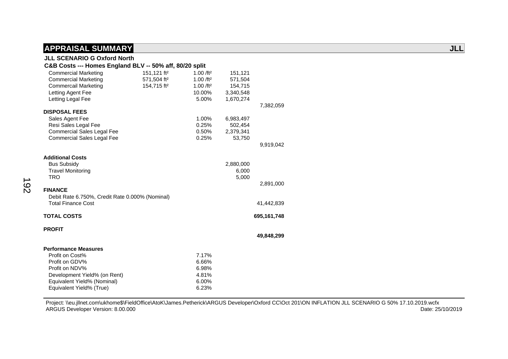### **JLL SCENARIO G Oxford North**

#### **C&B Costs --- Homes England BLV -- 50% aff, 80/20 split**  Commercial Marketing 151,121 ft² 1.00 /ft² 151,121 Commercial Marketing 571,504 ft² 1.00 /ft² 571,504 Commercail Marketing 154,715 ft<sup>2</sup> 1.00 /ft<sup>2</sup> 154,715 Letting Agent Fee 10.00% 3,340,548<br>
Letting Legal Fee 3,000 5.00% 1.670.274 Letting Legal Fee 7,382,059  **DISPOSAL FEES**  Sales Agent Fee 2.00% 6,983,497 Resi Sales Legal Fee  $0.25\%$  502,454 Commercial Sales Legal Fee 0.50% 2,379,341 Commercial Sales Legal Fee 0.25% 53,750 9,919,042  **Additional Costs**  Bus Subsidy 2,880,000 Travel Monitoring 6,000<br>TRO 5,000 TRO 5,000 2,891,000  **FINANCE**  Debit Rate 6.750%, Credit Rate 0.000% (Nominal) Total Finance Cost 41,442,839  **TOTAL COSTS 695,161,748 PROFIT 49,848,299 Performance Measures**  Profit on Cost% 7.17% Profit on GDV% 6.66% Profit on NDV% 6.98% Development Yield% (on Rent) 4.81% Equivalent Yield% (Nominal) 6.00%

Equivalent Yield% (True) 6.23%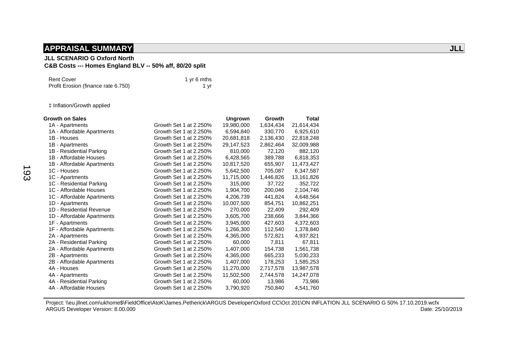#### **JLL SCENARIO G Oxford North**

### **C&B Costs --- Homes England BLV -- 50% aff, 80/20 split**

| Rent Cover                          | 1 yr 6 mths |
|-------------------------------------|-------------|
| Profit Erosion (finance rate 6.750) | 1 vr        |

‡ Inflation/Growth applied

| <b>Growth on Sales</b>     |                        | <b>Ungrown</b> | Growth    | <b>Total</b> |
|----------------------------|------------------------|----------------|-----------|--------------|
| 1A - Apartments            | Growth Set 1 at 2.250% | 19,980,000     | 1,634,434 | 21,614,434   |
| 1A - Affordable Apartments | Growth Set 1 at 2.250% | 6,594,840      | 330,770   | 6,925,610    |
| 1B - Houses                | Growth Set 1 at 2.250% | 20,681,818     | 2,136,430 | 22,818,248   |
| 1B - Apartments            | Growth Set 1 at 2.250% | 29,147,523     | 2,862,464 | 32,009,988   |
| 1B - Residential Parking   | Growth Set 1 at 2.250% | 810,000        | 72,120    | 882,120      |
| 1B - Affordable Houses     | Growth Set 1 at 2.250% | 6,428,565      | 389,788   | 6,818,353    |
| 1B - Affordable Apartments | Growth Set 1 at 2.250% | 10,817,520     | 655,907   | 11,473,427   |
| 1C - Houses                | Growth Set 1 at 2.250% | 5,642,500      | 705,087   | 6,347,587    |
| 1C - Apartments            | Growth Set 1 at 2.250% | 11,715,000     | 1,446,826 | 13,161,826   |
| 1C - Residential Parking   | Growth Set 1 at 2.250% | 315,000        | 37,722    | 352,722      |
| 1C - Affordable Houses     | Growth Set 1 at 2.250% | 1,904,700      | 200,046   | 2,104,746    |
| 1C - Affordable Apartments | Growth Set 1 at 2.250% | 4,206,739      | 441,824   | 4,648,564    |
| 1D - Apartments            | Growth Set 1 at 2.250% | 10,007,500     | 854.751   | 10,862,251   |
| 1D - Residential Revenue   | Growth Set 1 at 2.250% | 270,000        | 22,409    | 292,409      |
| 1D - Affordable Apartments | Growth Set 1 at 2.250% | 3,605,700      | 238,666   | 3,844,366    |
| 1F - Apartments            | Growth Set 1 at 2.250% | 3,945,000      | 427,603   | 4,372,603    |
| 1F - Affordable Apartments | Growth Set 1 at 2.250% | 1,266,300      | 112,540   | 1,378,840    |
| 2A - Apartments            | Growth Set 1 at 2.250% | 4,365,000      | 572,821   | 4,937,821    |
| 2A - Residential Parking   | Growth Set 1 at 2.250% | 60,000         | 7,811     | 67,811       |
| 2A - Affordable Apartments | Growth Set 1 at 2.250% | 1,407,000      | 154,738   | 1,561,738    |
| 2B - Apartments            | Growth Set 1 at 2.250% | 4,365,000      | 665,233   | 5,030,233    |
| 2B - Affordable Apartments | Growth Set 1 at 2.250% | 1,407,000      | 178,253   | 1,585,253    |
| 4A - Houses                | Growth Set 1 at 2.250% | 11,270,000     | 2,717,578 | 13,987,578   |
| 4A - Apartments            | Growth Set 1 at 2.250% | 11,502,500     | 2,744,578 | 14,247,078   |
| 4A - Residential Parking   | Growth Set 1 at 2.250% | 60,000         | 13,986    | 73,986       |
| 4A - Affordable Houses     | Growth Set 1 at 2.250% | 3,790,920      | 750,840   | 4,541,760    |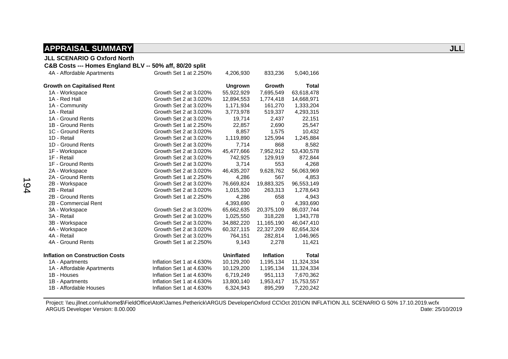#### **JLL SCENARIO G Oxford North**

#### **C&B Costs --- Homes England BLV -- 50% aff, 80/20 split**

| 4A - Affordable Apartments             | Growth Set 1 at 2.250%    | 4,206,930         | 833,236       | 5,040,166    |
|----------------------------------------|---------------------------|-------------------|---------------|--------------|
| <b>Growth on Capitalised Rent</b>      |                           | <b>Ungrown</b>    | <b>Growth</b> | <b>Total</b> |
| 1A - Workspace                         | Growth Set 2 at 3.020%    | 55,922,929        | 7,695,549     | 63,618,478   |
| 1A - Red Hall                          | Growth Set 2 at 3.020%    | 12,894,553        | 1,774,418     | 14,668,971   |
| 1A - Community                         | Growth Set 2 at 3.020%    | 1,171,934         | 161,270       | 1,333,204    |
| 1A - Retail                            | Growth Set 2 at 3.020%    | 3,773,978         | 519,337       | 4,293,315    |
| 1A - Ground Rents                      | Growth Set 2 at 3.020%    | 19,714            | 2,437         | 22,151       |
| 1B - Ground Rents                      | Growth Set 1 at 2.250%    | 22,857            | 2,690         | 25,547       |
| 1C - Ground Rents                      | Growth Set 2 at 3.020%    | 8,857             | 1,575         | 10,432       |
| 1D - Retail                            | Growth Set 2 at 3.020%    | 1,119,890         | 125,994       | 1,245,884    |
| 1D - Ground Rents                      | Growth Set 2 at 3.020%    | 7,714             | 868           | 8,582        |
| 1F - Workspace                         | Growth Set 2 at 3.020%    | 45,477,666        | 7,952,912     | 53,430,578   |
| 1F - Retail                            | Growth Set 2 at 3.020%    | 742,925           | 129,919       | 872,844      |
| 1F - Ground Rents                      | Growth Set 2 at 3.020%    | 3,714             | 553           | 4,268        |
| 2A - Workspace                         | Growth Set 2 at 3.020%    | 46,435,207        | 9,628,762     | 56,063,969   |
| 2A - Ground Rents                      | Growth Set 1 at 2.250%    | 4,286             | 567           | 4,853        |
| 2B - Workspace                         | Growth Set 2 at 3.020%    | 76,669,824        | 19,883,325    | 96,553,149   |
| 2B - Retail                            | Growth Set 2 at 3.020%    | 1,015,330         | 263,313       | 1,278,643    |
| 2B - Ground Rents                      | Growth Set 1 at 2.250%    | 4,286             | 658           | 4,943        |
| 2B - Commercial Rent                   |                           | 4,393,690         | 0             | 4,393,690    |
| 3A - Workspace                         | Growth Set 2 at 3.020%    | 65,662,635        | 20,375,109    | 86,037,744   |
| 3A - Retail                            | Growth Set 2 at 3.020%    | 1,025,550         | 318,228       | 1,343,778    |
| 3B - Workspace                         | Growth Set 2 at 3.020%    | 34,882,220        | 11,165,190    | 46,047,410   |
| 4A - Workspace                         | Growth Set 2 at 3.020%    | 60,327,115        | 22,327,209    | 82,654,324   |
| 4A - Retail                            | Growth Set 2 at 3.020%    | 764,151           | 282,814       | 1,046,965    |
| 4A - Ground Rents                      | Growth Set 1 at 2.250%    | 9,143             | 2,278         | 11,421       |
| <b>Inflation on Construction Costs</b> |                           | <b>Uninflated</b> | Inflation     | <b>Total</b> |
| 1A - Apartments                        | Inflation Set 1 at 4.630% | 10,129,200        | 1,195,134     | 11,324,334   |
| 1A - Affordable Apartments             | Inflation Set 1 at 4.630% | 10,129,200        | 1,195,134     | 11,324,334   |
| 1B - Houses                            | Inflation Set 1 at 4.630% | 6,719,249         | 951,113       | 7,670,362    |
| 1B - Apartments                        | Inflation Set 1 at 4.630% | 13,800,140        | 1,953,417     | 15,753,557   |
| 1B - Affordable Houses                 | Inflation Set 1 at 4.630% | 6,324,943         | 895,299       | 7,220,242    |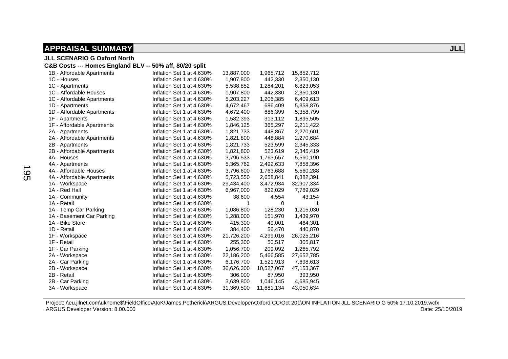**JLL SCENARIO G Oxford North** 

#### **C&B Costs --- Homes England BLV -- 50% aff, 80/20 split**

| 1B - Affordable Apartments | Inflation Set 1 at 4.630% | 13,887,000 | 1,965,712  | 15,852,712 |
|----------------------------|---------------------------|------------|------------|------------|
| 1C - Houses                | Inflation Set 1 at 4.630% | 1,907,800  | 442,330    | 2,350,130  |
| 1C - Apartments            | Inflation Set 1 at 4.630% | 5,538,852  | 1,284,201  | 6,823,053  |
| 1C - Affordable Houses     | Inflation Set 1 at 4.630% | 1,907,800  | 442,330    | 2,350,130  |
| 1C - Affordable Apartments | Inflation Set 1 at 4.630% | 5,203,227  | 1,206,385  | 6,409,613  |
| 1D - Apartments            | Inflation Set 1 at 4.630% | 4,672,467  | 686,409    | 5,358,876  |
| 1D - Affordable Apartments | Inflation Set 1 at 4.630% | 4,672,400  | 686,399    | 5,358,799  |
| 1F - Apartments            | Inflation Set 1 at 4.630% | 1,582,393  | 313,112    | 1,895,505  |
| 1F - Affordable Apartments | Inflation Set 1 at 4.630% | 1,846,125  | 365,297    | 2,211,422  |
| 2A - Apartments            | Inflation Set 1 at 4.630% | 1,821,733  | 448,867    | 2,270,601  |
| 2A - Affordable Apartments | Inflation Set 1 at 4.630% | 1,821,800  | 448,884    | 2,270,684  |
| 2B - Apartments            | Inflation Set 1 at 4.630% | 1,821,733  | 523,599    | 2,345,333  |
| 2B - Affordable Apartments | Inflation Set 1 at 4.630% | 1,821,800  | 523,619    | 2,345,419  |
| 4A - Houses                | Inflation Set 1 at 4.630% | 3,796,533  | 1,763,657  | 5,560,190  |
| 4A - Apartments            | Inflation Set 1 at 4.630% | 5,365,762  | 2,492,633  | 7,858,396  |
| 4A - Affordable Houses     | Inflation Set 1 at 4.630% | 3,796,600  | 1,763,688  | 5,560,288  |
| 4A - Affordable Apartments | Inflation Set 1 at 4.630% | 5,723,550  | 2,658,841  | 8,382,391  |
| 1A - Workspace             | Inflation Set 1 at 4.630% | 29,434,400 | 3,472,934  | 32,907,334 |
| 1A - Red Hall              | Inflation Set 1 at 4.630% | 6,967,000  | 822,029    | 7,789,029  |
| 1A - Community             | Inflation Set 1 at 4.630% | 38,600     | 4,554      | 43,154     |
| 1A - Retail                | Inflation Set 1 at 4.630% | 1          | 0          |            |
| 1A - Temp Car Parking      | Inflation Set 1 at 4.630% | 1,086,800  | 128,230    | 1,215,030  |
| 1A - Basement Car Parking  | Inflation Set 1 at 4.630% | 1,288,000  | 151,970    | 1,439,970  |
| 1A - Bike Store            | Inflation Set 1 at 4.630% | 415,300    | 49,001     | 464,301    |
| 1D - Retail                | Inflation Set 1 at 4.630% | 384,400    | 56,470     | 440,870    |
| 1F - Workspace             | Inflation Set 1 at 4.630% | 21,726,200 | 4,299,016  | 26,025,216 |
| 1F - Retail                | Inflation Set 1 at 4.630% | 255,300    | 50,517     | 305,817    |
| 1F - Car Parking           | Inflation Set 1 at 4.630% | 1,056,700  | 209,092    | 1,265,792  |
| 2A - Workspace             | Inflation Set 1 at 4.630% | 22,186,200 | 5,466,585  | 27,652,785 |
| 2A - Car Parking           | Inflation Set 1 at 4.630% | 6,176,700  | 1,521,913  | 7,698,613  |
| 2B - Workspace             | Inflation Set 1 at 4.630% | 36,626,300 | 10,527,067 | 47,153,367 |
| 2B - Retail                | Inflation Set 1 at 4.630% | 306,000    | 87,950     | 393,950    |
| 2B - Car Parking           | Inflation Set 1 at 4.630% | 3,639,800  | 1,046,145  | 4,685,945  |
| 3A - Workspace             | Inflation Set 1 at 4.630% | 31,369,500 | 11,681,134 | 43,050,634 |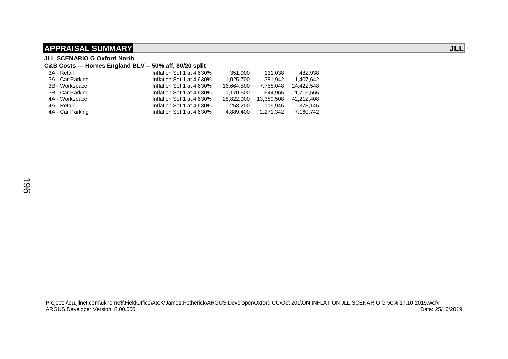**JLL SCENARIO G Oxford North** 

#### **C&B Costs --- Homes England BLV -- 50% aff, 80/20 split**

| 3A - Retail      | Inflation Set 1 at 4.630% | 351.900    | 131.038    | 482.938    |
|------------------|---------------------------|------------|------------|------------|
| 3A - Car Parking | Inflation Set 1 at 4.630% | 1,025,700  | 381.942    | 1.407.642  |
| 3B - Workspace   | Inflation Set 1 at 4.630% | 16.664.500 | 7.758.048  | 24.422.548 |
| 3B - Car Parking | Inflation Set 1 at 4.630% | 1.170.600  | 544.965    | 1.715.565  |
| 4A - Workspace   | Inflation Set 1 at 4.630% | 28.822.900 | 13.389.508 | 42.212.408 |
| 4A - Retail      | Inflation Set 1 at 4.630% | 258.200    | 119.945    | 378.145    |
| 4A - Car Parking | Inflation Set 1 at 4.630% | 4.889.400  | 2,271,342  | 7,160,742  |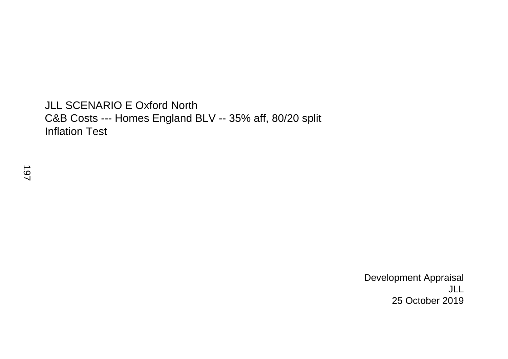## JLL SCENARIO E Oxford North C&B Costs --- Homes England BLV -- 35% aff, 80/20 split Inflation Test

 Development Appraisal JLL 25 October 2019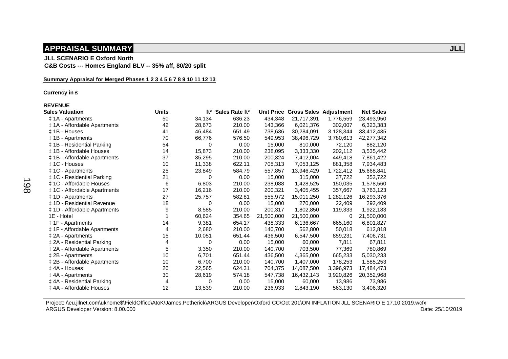**JLL SCENARIO E Oxford North C&B Costs --- Homes England BLV -- 35% aff, 80/20 split** 

#### **Summary Appraisal for Merged Phases 1 2 3 4 5 6 7 8 9 10 11 12 13**

 **Currency in £** 

 **REVENUE** 

| <b>Sales Valuation</b>           | <b>Units</b> | ft <sup>2</sup> | Sales Rate ft <sup>2</sup> |            | Unit Price Gross Sales Adjustment |           | <b>Net Sales</b> |
|----------------------------------|--------------|-----------------|----------------------------|------------|-----------------------------------|-----------|------------------|
| ‡ 1A - Apartments                | 50           | 34,134          | 636.23                     | 434,348    | 21,717,391                        | 1,776,559 | 23,493,950       |
| ‡ 1A - Affordable Apartments     | 42           | 28,673          | 210.00                     | 143,366    | 6,021,376                         | 302,007   | 6,323,383        |
| ± 1B - Houses                    | 41           | 46,484          | 651.49                     | 738,636    | 30,284,091                        | 3,128,344 | 33,412,435       |
| ‡ 1B - Apartments                | 70           | 66,776          | 576.50                     | 549,953    | 38,496,729                        | 3,780,613 | 42,277,342       |
| ‡ 1B - Residential Parking       | 54           | 0               | 0.00                       | 15,000     | 810,000                           | 72,120    | 882,120          |
| ‡ 1B - Affordable Houses         | 14           | 15,873          | 210.00                     | 238,095    | 3,333,330                         | 202,112   | 3,535,442        |
| ‡ 1B - Affordable Apartments     | 37           | 35,295          | 210.00                     | 200,324    | 7,412,004                         | 449,418   | 7,861,422        |
| ± 1C - Houses                    | 10           | 11,338          | 622.11                     | 705,313    | 7,053,125                         | 881,358   | 7,934,483        |
| ‡ 1C - Apartments                | 25           | 23,849          | 584.79                     | 557,857    | 13,946,429                        | 1,722,412 | 15,668,841       |
| ‡ 1C - Residential Parking       | 21           | 0               | 0.00                       | 15,000     | 315,000                           | 37,722    | 352,722          |
| ‡ 1C - Affordable Houses         | 6            | 6,803           | 210.00                     | 238,088    | 1,428,525                         | 150,035   | 1,578,560        |
| ‡ 1C - Affordable Apartments     | 17           | 16,216          | 210.00                     | 200,321    | 3,405,455                         | 357,667   | 3,763,123        |
| ‡ 1D - Apartments                | 27           | 25,757          | 582.81                     | 555,972    | 15,011,250                        | 1,282,126 | 16,293,376       |
| ‡ 1D - Residential Revenue       | 18           | 0               | 0.00                       | 15,000     | 270,000                           | 22,409    | 292,409          |
| ‡ 1D - Affordable Apartments     | 9            | 8,585           | 210.00                     | 200,317    | 1,802,850                         | 119,333   | 1,922,183        |
| 1E - Hotel                       |              | 60,624          | 354.65                     | 21,500,000 | 21,500,000                        | 0         | 21,500,000       |
| ‡ 1F - Apartments                | 14           | 9,381           | 654.17                     | 438,333    | 6,136,667                         | 665,160   | 6,801,827        |
| ‡ 1F - Affordable Apartments     | 4            | 2,680           | 210.00                     | 140,700    | 562,800                           | 50,018    | 612,818          |
| ‡ 2A - Apartments                | 15           | 10,051          | 651.44                     | 436,500    | 6,547,500                         | 859,231   | 7,406,731        |
| ‡ 2A - Residential Parking       | 4            | 0               | 0.00                       | 15,000     | 60,000                            | 7,811     | 67,811           |
| ‡ 2A - Affordable Apartments     | 5            | 3,350           | 210.00                     | 140,700    | 703,500                           | 77,369    | 780,869          |
| ‡ 2B - Apartments                | 10           | 6,701           | 651.44                     | 436,500    | 4,365,000                         | 665,233   | 5,030,233        |
| ‡ 2B - Affordable Apartments     | 10           | 6,700           | 210.00                     | 140,700    | 1,407,000                         | 178,253   | 1,585,253        |
| ‡4A - Houses                     | 20           | 22,565          | 624.31                     | 704,375    | 14,087,500                        | 3,396,973 | 17,484,473       |
| ‡ 4A - Apartments                | 30           | 28,619          | 574.18                     | 547,738    | 16,432,143                        | 3,920,826 | 20,352,968       |
| <b>‡4A - Residential Parking</b> | 4            | 0               | 0.00                       | 15,000     | 60,000                            | 13,986    | 73,986           |
| ‡ 4A - Affordable Houses         | 12           | 13,539          | 210.00                     | 236,933    | 2,843,190                         | 563,130   | 3,406,320        |
|                                  |              |                 |                            |            |                                   |           |                  |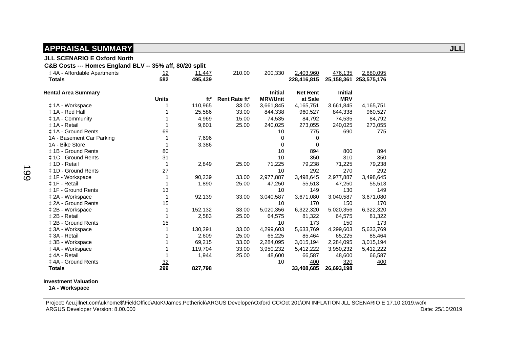#### **JLL SCENARIO E Oxford North**

 **C&B Costs --- Homes England BLV -- 35% aff, 80/20 split** 

| ‡4A - Affordable Apartments<br><b>Totals</b> | 12<br>582      | <u>11,447</u><br>495,439 | 210.00                    | 200,330         | 2,403,960<br>228,416,815 | 476,135        | 2,880,095<br>25,158,361 253,575,176 |
|----------------------------------------------|----------------|--------------------------|---------------------------|-----------------|--------------------------|----------------|-------------------------------------|
| <b>Rental Area Summary</b>                   |                |                          |                           | <b>Initial</b>  | <b>Net Rent</b>          | <b>Initial</b> |                                     |
|                                              | <b>Units</b>   | ft <sup>2</sup>          | Rent Rate ft <sup>2</sup> | <b>MRV/Unit</b> | at Sale                  | <b>MRV</b>     |                                     |
| ‡ 1A - Workspace                             |                | 110,965                  | 33.00                     | 3,661,845       | 4,165,751                | 3,661,845      | 4,165,751                           |
| ± 1A - Red Hall                              |                | 25,586                   | 33.00                     | 844,338         | 960,527                  | 844,338        | 960,527                             |
| #1A - Community                              |                | 4,969                    | 15.00                     | 74,535          | 84,792                   | 74,535         | 84,792                              |
| ‡ 1A - Retail                                |                | 9,601                    | 25.00                     | 240,025         | 273,055                  | 240,025        | 273,055                             |
| ‡ 1A - Ground Rents                          | 69             |                          |                           | 10              | 775                      | 690            | 775                                 |
| 1A - Basement Car Parking                    |                | 7,696                    |                           | 0               | 0                        |                |                                     |
| 1A - Bike Store                              |                | 3,386                    |                           | $\Omega$        | 0                        |                |                                     |
| ‡ 1B - Ground Rents                          | 80             |                          |                           | 10              | 894                      | 800            | 894                                 |
| ± 1C - Ground Rents                          | 31             |                          |                           | 10              | 350                      | 310            | 350                                 |
| ‡ 1D - Retail                                |                | 2,849                    | 25.00                     | 71,225          | 79,238                   | 71,225         | 79,238                              |
| ± 1D - Ground Rents                          | 27             |                          |                           | 10              | 292                      | 270            | 292                                 |
| ‡ 1F - Workspace                             |                | 90,239                   | 33.00                     | 2,977,887       | 3,498,645                | 2,977,887      | 3,498,645                           |
| ± 1F - Retail                                |                | 1,890                    | 25.00                     | 47,250          | 55,513                   | 47,250         | 55,513                              |
| <b>‡1F - Ground Rents</b>                    | 13             |                          |                           | 10              | 149                      | 130            | 149                                 |
| ‡ 2A - Workspace                             |                | 92,139                   | 33.00                     | 3,040,587       | 3,671,080                | 3,040,587      | 3,671,080                           |
| ± 2A - Ground Rents                          | 15             |                          |                           | 10              | 170                      | 150            | 170                                 |
| ‡ 2B - Workspace                             |                | 152,132                  | 33.00                     | 5,020,356       | 6,322,320                | 5,020,356      | 6,322,320                           |
| ‡ 2B - Retail                                |                | 2,583                    | 25.00                     | 64,575          | 81,322                   | 64,575         | 81,322                              |
| ‡ 2B - Ground Rents                          | 15             |                          |                           | 10              | 173                      | 150            | 173                                 |
| ‡ 3A - Workspace                             |                | 130,291                  | 33.00                     | 4,299,603       | 5,633,769                | 4,299,603      | 5,633,769                           |
| ‡ 3A - Retail                                |                | 2,609                    | 25.00                     | 65,225          | 85,464                   | 65,225         | 85,464                              |
| ‡ 3B - Workspace                             |                | 69,215                   | 33.00                     | 2,284,095       | 3,015,194                | 2,284,095      | 3,015,194                           |
| ‡4A - Workspace                              |                | 119,704                  | 33.00                     | 3,950,232       | 5,412,222                | 3,950,232      | 5,412,222                           |
| ‡4A - Retail                                 |                | 1,944                    | 25.00                     | 48,600          | 66,587                   | 48,600         | 66,587                              |
| ‡ 4A - Ground Rents                          | $\frac{32}{2}$ |                          |                           | 10              | 400                      | 320            | 400                                 |
| <b>Totals</b>                                | 299            | 827,798                  |                           |                 | 33,408,685               | 26,693,198     |                                     |

#### **Investment Valuation**

 **1A - Workspace**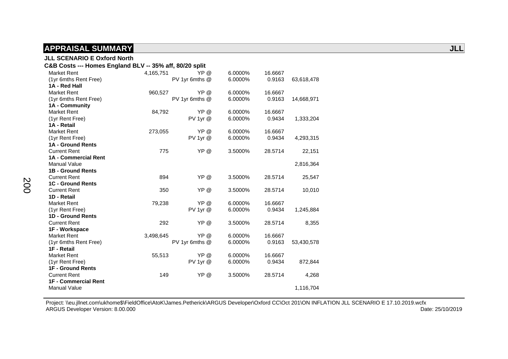| <b>JLL SCENARIO E Oxford North</b>                      |           |                |         |         |            |  |
|---------------------------------------------------------|-----------|----------------|---------|---------|------------|--|
| C&B Costs --- Homes England BLV -- 35% aff, 80/20 split |           |                |         |         |            |  |
| <b>Market Rent</b>                                      | 4,165,751 | YP @           | 6.0000% | 16.6667 |            |  |
| (1yr 6mths Rent Free)                                   |           | PV 1yr 6mths @ | 6.0000% | 0.9163  | 63,618,478 |  |
| 1A - Red Hall                                           |           |                |         |         |            |  |
| <b>Market Rent</b>                                      | 960,527   | YP @           | 6.0000% | 16.6667 |            |  |
| (1yr 6mths Rent Free)                                   |           | PV 1yr 6mths @ | 6.0000% | 0.9163  | 14,668,971 |  |
| 1A - Community                                          |           |                |         |         |            |  |
| <b>Market Rent</b>                                      | 84,792    | YP @           | 6.0000% | 16.6667 |            |  |
| (1yr Rent Free)                                         |           | $PV$ 1yr $@$   | 6.0000% | 0.9434  | 1,333,204  |  |
| 1A - Retail                                             |           |                |         |         |            |  |
| <b>Market Rent</b>                                      | 273,055   | YP @           | 6.0000% | 16.6667 |            |  |
| (1yr Rent Free)                                         |           | PV 1yr @       | 6.0000% | 0.9434  | 4,293,315  |  |
| 1A - Ground Rents                                       |           |                |         |         |            |  |
| <b>Current Rent</b>                                     | 775       | YP @           | 3.5000% | 28.5714 | 22,151     |  |
| <b>1A - Commercial Rent</b>                             |           |                |         |         |            |  |
| <b>Manual Value</b>                                     |           |                |         |         | 2,816,364  |  |
| <b>1B - Ground Rents</b>                                |           |                |         |         |            |  |
| <b>Current Rent</b>                                     | 894       | YP @           | 3.5000% | 28.5714 | 25,547     |  |
| <b>1C - Ground Rents</b>                                |           |                |         |         |            |  |
| <b>Current Rent</b>                                     | 350       | YP @           | 3.5000% | 28.5714 | 10,010     |  |
| 1D - Retail                                             |           |                |         |         |            |  |
| <b>Market Rent</b>                                      | 79,238    | YP @           | 6.0000% | 16.6667 |            |  |
| (1yr Rent Free)                                         |           | PV 1yr @       | 6.0000% | 0.9434  | 1,245,884  |  |
| 1D - Ground Rents                                       |           |                |         |         |            |  |
| <b>Current Rent</b>                                     | 292       | YP @           | 3.5000% | 28.5714 | 8,355      |  |
| 1F - Workspace                                          |           |                |         |         |            |  |
| <b>Market Rent</b>                                      | 3,498,645 | YP @           | 6.0000% | 16.6667 |            |  |
| (1yr 6mths Rent Free)                                   |           | PV 1yr 6mths @ | 6.0000% | 0.9163  | 53,430,578 |  |
| 1F - Retail                                             |           |                |         |         |            |  |
| <b>Market Rent</b>                                      | 55,513    | YP @           | 6.0000% | 16.6667 |            |  |
| (1yr Rent Free)                                         |           | PV 1yr @       | 6.0000% | 0.9434  | 872,844    |  |
| <b>1F - Ground Rents</b>                                |           |                |         |         |            |  |
| <b>Current Rent</b>                                     | 149       | YP @           | 3.5000% | 28.5714 | 4,268      |  |
| <b>1F - Commercial Rent</b>                             |           |                |         |         |            |  |
| <b>Manual Value</b>                                     |           |                |         |         | 1,116,704  |  |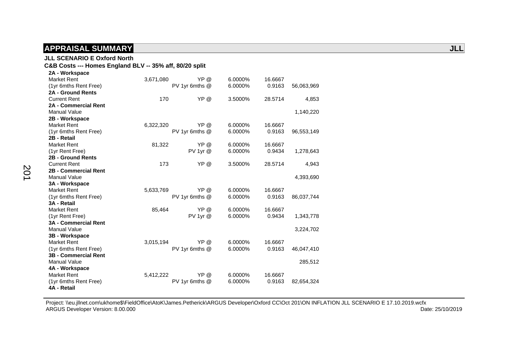#### **JLL SCENARIO E Oxford North**

### **C&B Costs --- Homes England BLV -- 35% aff, 80/20 split**

| 2A - Workspace              |           |                |         |         |            |
|-----------------------------|-----------|----------------|---------|---------|------------|
| <b>Market Rent</b>          | 3,671,080 | YP @           | 6.0000% | 16.6667 |            |
| (1yr 6mths Rent Free)       |           | PV 1yr 6mths @ | 6.0000% | 0.9163  | 56,063,969 |
| <b>2A - Ground Rents</b>    |           |                |         |         |            |
| <b>Current Rent</b>         | 170       | YP @           | 3.5000% | 28.5714 | 4,853      |
| <b>2A - Commercial Rent</b> |           |                |         |         |            |
| <b>Manual Value</b>         |           |                |         |         | 1,140,220  |
| 2B - Workspace              |           |                |         |         |            |
| <b>Market Rent</b>          | 6,322,320 | YP @           | 6.0000% | 16.6667 |            |
| (1yr 6mths Rent Free)       |           | PV 1yr 6mths @ | 6.0000% | 0.9163  | 96,553,149 |
| 2B - Retail                 |           |                |         |         |            |
| <b>Market Rent</b>          | 81,322    | YP @           | 6.0000% | 16.6667 |            |
| (1yr Rent Free)             |           | PV 1yr @       | 6.0000% | 0.9434  | 1,278,643  |
| 2B - Ground Rents           |           |                |         |         |            |
| <b>Current Rent</b>         | 173       | YP @           | 3.5000% | 28.5714 | 4,943      |
| 2B - Commercial Rent        |           |                |         |         |            |
| <b>Manual Value</b>         |           |                |         |         | 4,393,690  |
| 3A - Workspace              |           |                |         |         |            |
| <b>Market Rent</b>          | 5,633,769 | YP @           | 6.0000% | 16.6667 |            |
| (1yr 6mths Rent Free)       |           | PV 1yr 6mths @ | 6.0000% | 0.9163  | 86,037,744 |
| 3A - Retail                 |           |                |         |         |            |
| <b>Market Rent</b>          | 85,464    | YP @           | 6.0000% | 16.6667 |            |
| (1yr Rent Free)             |           | PV 1yr @       | 6.0000% | 0.9434  | 1,343,778  |
| <b>3A - Commercial Rent</b> |           |                |         |         |            |
| <b>Manual Value</b>         |           |                |         |         | 3,224,702  |
| 3B - Workspace              |           |                |         |         |            |
| <b>Market Rent</b>          | 3,015,194 | YP @           | 6.0000% | 16.6667 |            |
| (1yr 6mths Rent Free)       |           | PV 1yr 6mths @ | 6.0000% | 0.9163  | 46,047,410 |
| <b>3B - Commercial Rent</b> |           |                |         |         |            |
| <b>Manual Value</b>         |           |                |         |         | 285,512    |
| 4A - Workspace              |           |                |         |         |            |
| <b>Market Rent</b>          | 5,412,222 | YP @           | 6.0000% | 16.6667 |            |
| (1yr 6mths Rent Free)       |           | PV 1yr 6mths @ | 6.0000% | 0.9163  | 82,654,324 |
| 4A - Retail                 |           |                |         |         |            |

201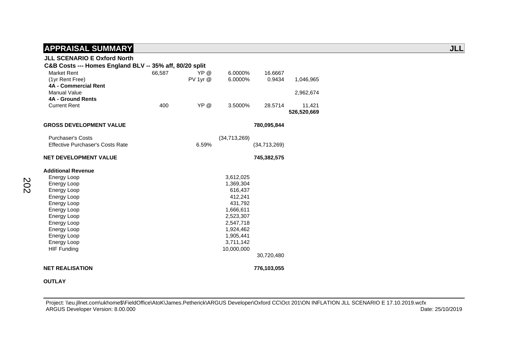| <b>JLL SCENARIO E Oxford North</b>                      |        |              |              |              |             |
|---------------------------------------------------------|--------|--------------|--------------|--------------|-------------|
| C&B Costs --- Homes England BLV -- 35% aff, 80/20 split |        |              |              |              |             |
| <b>Market Rent</b>                                      | 66,587 | YP @         | 6.0000%      | 16.6667      |             |
| (1yr Rent Free)                                         |        | $PV$ 1yr $@$ | 6.0000%      | 0.9434       | 1,046,965   |
| 4A - Commercial Rent                                    |        |              |              |              |             |
| Manual Value                                            |        |              |              |              | 2,962,674   |
| <b>4A - Ground Rents</b>                                |        |              |              |              |             |
| <b>Current Rent</b>                                     | 400    | YP @         | 3.5000%      | 28.5714      | 11,421      |
|                                                         |        |              |              |              | 526,520,669 |
| <b>GROSS DEVELOPMENT VALUE</b>                          |        |              |              | 780,095,844  |             |
|                                                         |        |              |              |              |             |
| <b>Purchaser's Costs</b>                                |        |              | (34,713,269) |              |             |
| <b>Effective Purchaser's Costs Rate</b>                 |        | 6.59%        |              | (34,713,269) |             |
|                                                         |        |              |              |              |             |
| <b>NET DEVELOPMENT VALUE</b>                            |        |              |              | 745,382,575  |             |
| <b>Additional Revenue</b>                               |        |              |              |              |             |
| Energy Loop                                             |        |              | 3,612,025    |              |             |
| Energy Loop                                             |        |              | 1,369,304    |              |             |
| Energy Loop                                             |        |              | 616,437      |              |             |
| Energy Loop                                             |        |              | 412,241      |              |             |
| Energy Loop                                             |        |              | 431,792      |              |             |
| Energy Loop                                             |        |              | 1,666,611    |              |             |
| Energy Loop                                             |        |              | 2,523,307    |              |             |
| Energy Loop                                             |        |              | 2,547,718    |              |             |
| Energy Loop                                             |        |              | 1,924,462    |              |             |
| Energy Loop                                             |        |              | 1,905,441    |              |             |
| <b>Energy Loop</b>                                      |        |              | 3,711,142    |              |             |
| <b>HIF Funding</b>                                      |        |              | 10,000,000   |              |             |
|                                                         |        |              |              | 30,720,480   |             |
| <b>NET REALISATION</b>                                  |        |              |              | 776,103,055  |             |

#### **OUTLAY**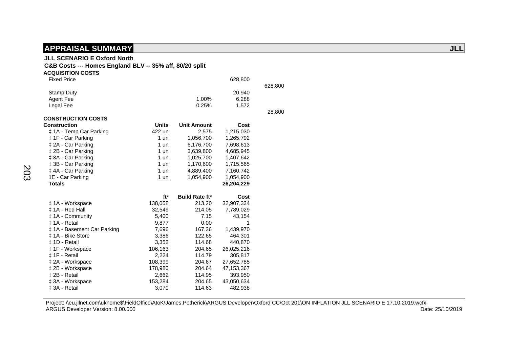### **JLL SCENARIO E Oxford North**

#### **C&B Costs --- Homes England BLV -- 35% aff, 80/20 split**

| <b>ACQUISITION COSTS</b>    |                 |                                  |            |         |
|-----------------------------|-----------------|----------------------------------|------------|---------|
| <b>Fixed Price</b>          |                 |                                  | 628,800    |         |
|                             |                 |                                  |            | 628,800 |
| <b>Stamp Duty</b>           |                 |                                  | 20,940     |         |
| <b>Agent Fee</b>            |                 | 1.00%                            | 6,288      |         |
| Legal Fee                   |                 | 0.25%                            | 1,572      |         |
|                             |                 |                                  |            | 28,800  |
| <b>CONSTRUCTION COSTS</b>   |                 |                                  |            |         |
| <b>Construction</b>         | <b>Units</b>    | <b>Unit Amount</b>               | Cost       |         |
| ‡ 1A - Temp Car Parking     | 422 un          | 2,575                            | 1,215,030  |         |
| ‡ 1F - Car Parking          | 1 un            | 1,056,700                        | 1,265,792  |         |
| ‡ 2A - Car Parking          | $1$ un          | 6,176,700                        | 7,698,613  |         |
| ‡ 2B - Car Parking          | $1$ un          | 3,639,800                        | 4,685,945  |         |
| ‡ 3A - Car Parking          | 1 un            | 1,025,700                        | 1,407,642  |         |
| ‡ 3B - Car Parking          | 1 un            | 1,170,600                        | 1,715,565  |         |
| ‡4A - Car Parking           | $1$ un          | 4,889,400                        | 7,160,742  |         |
| 1E - Car Parking            | 1 un            | 1,054,900                        | 1,054,900  |         |
| <b>Totals</b>               |                 |                                  | 26,204,229 |         |
|                             |                 | <b>Build Rate ft<sup>2</sup></b> |            |         |
|                             | ft <sup>2</sup> |                                  | Cost       |         |
| ‡ 1A - Workspace            | 138,058         | 213.20                           | 32,907,334 |         |
| ± 1A - Red Hall             | 32,549          | 214.05                           | 7,789,029  |         |
| #1A - Community             | 5,400           | 7.15                             | 43,154     |         |
| ± 1A - Retail               | 9,877           | 0.00                             | 1          |         |
| ‡ 1A - Basement Car Parking | 7,696           | 167.36                           | 1,439,970  |         |
| ‡ 1A - Bike Store           | 3,386           | 122.65                           | 464,301    |         |
| ± 1D - Retail               | 3,352           | 114.68                           | 440,870    |         |
| ‡ 1F - Workspace            | 106,163         | 204.65                           | 26,025,216 |         |
| ‡ 1F - Retail               | 2,224           | 114.79                           | 305,817    |         |
| ‡ 2A - Workspace            | 108,399         | 204.67                           | 27,652,785 |         |
| ‡ 2B - Workspace            | 178,980         | 204.64                           | 47,153,367 |         |
| ± 2B - Retail               | 2,662           | 114.95                           | 393,950    |         |
| ‡ 3A - Workspace            | 153,284         | 204.65                           | 43,050,634 |         |
| ± 3A - Retail               | 3,070           | 114.63                           | 482,938    |         |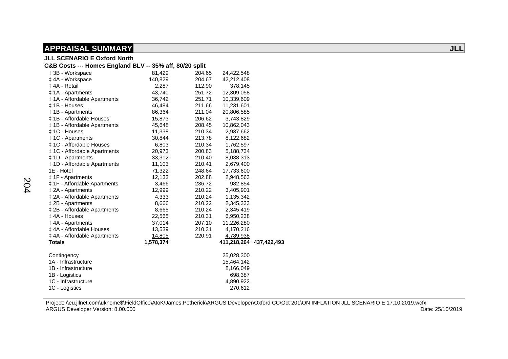| <b>JLL SCENARIO E Oxford North</b>                      |           |        |                         |  |
|---------------------------------------------------------|-----------|--------|-------------------------|--|
| C&B Costs --- Homes England BLV -- 35% aff, 80/20 split |           |        |                         |  |
| ‡ 3B - Workspace                                        | 81,429    | 204.65 | 24,422,548              |  |
| ‡4A - Workspace                                         | 140,829   | 204.67 | 42,212,408              |  |
| ‡4A - Retail                                            | 2,287     | 112.90 | 378,145                 |  |
| ‡ 1A - Apartments                                       | 43,740    | 251.72 | 12,309,058              |  |
| <b>‡1A - Affordable Apartments</b>                      | 36,742    | 251.71 | 10,339,609              |  |
| ± 1B - Houses                                           | 46,484    | 211.66 | 11,231,601              |  |
| ‡ 1B - Apartments                                       | 86,364    | 211.04 | 20,806,585              |  |
| ‡ 1B - Affordable Houses                                | 15,873    | 206.62 | 3,743,829               |  |
| ‡ 1B - Affordable Apartments                            | 45,648    | 208.45 | 10,862,043              |  |
| ‡ 1C - Houses                                           | 11,338    | 210.34 | 2,937,662               |  |
| ‡ 1C - Apartments                                       | 30,844    | 213.78 | 8,122,682               |  |
| ± 1C - Affordable Houses                                | 6,803     | 210.34 | 1,762,597               |  |
| <b>‡1C</b> - Affordable Apartments                      | 20,973    | 200.83 | 5,188,734               |  |
| ‡ 1D - Apartments                                       | 33,312    | 210.40 | 8,038,313               |  |
| ‡ 1D - Affordable Apartments                            | 11,103    | 210.41 | 2,679,400               |  |
| 1E - Hotel                                              | 71,322    | 248.64 | 17,733,600              |  |
| ‡ 1F - Apartments                                       | 12,133    | 202.88 | 2,948,563               |  |
| <b>‡ 1F - Affordable Apartments</b>                     | 3,466     | 236.72 | 982,854                 |  |
| ‡ 2A - Apartments                                       | 12,999    | 210.22 | 3,405,901               |  |
| ‡ 2A - Affordable Apartments                            | 4,333     | 210.24 | 1,135,342               |  |
| ‡ 2B - Apartments                                       | 8,666     | 210.22 | 2,345,333               |  |
| ‡ 2B - Affordable Apartments                            | 8,665     | 210.24 | 2,345,419               |  |
| ‡4A - Houses                                            | 22,565    | 210.31 | 6,950,238               |  |
| ‡4A - Apartments                                        | 37,014    | 207.10 | 11,226,280              |  |
| ‡4A - Affordable Houses                                 | 13,539    | 210.31 | 4,170,216               |  |
| ‡ 4A - Affordable Apartments                            | 14,805    | 220.91 | 4,789,938               |  |
| <b>Totals</b>                                           | 1,578,374 |        | 411,218,264 437,422,493 |  |
| Contingency                                             |           |        | 25,028,300              |  |
| 1A - Infrastructure                                     |           |        | 15,464,142              |  |
| 1B - Infrastructure                                     |           |        | 8,166,049               |  |
| 1B - Logistics                                          |           |        | 698,387                 |  |
| 1C - Infrastructure                                     |           |        | 4,890,922               |  |
| 1C - Logistics                                          |           |        | 270,612                 |  |
|                                                         |           |        |                         |  |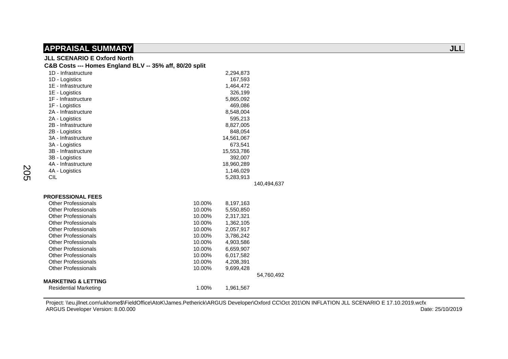#### **JLL SCENARIO E Oxford North**

| C&B Costs --- Homes England BLV -- 35% aff, 80/20 split |        |            |             |
|---------------------------------------------------------|--------|------------|-------------|
| 1D - Infrastructure                                     |        | 2,294,873  |             |
| 1D - Logistics                                          |        | 167,593    |             |
| 1E - Infrastructure                                     |        | 1,464,472  |             |
| 1E - Logistics                                          |        | 326,199    |             |
| 1F - Infrastructure                                     |        | 5,865,092  |             |
| 1F - Logistics                                          |        | 469.086    |             |
| 2A - Infrastructure                                     |        | 8,548,004  |             |
| 2A - Logistics                                          |        | 595,213    |             |
| 2B - Infrastructure                                     |        | 8,827,005  |             |
| 2B - Logistics                                          |        | 848.054    |             |
| 3A - Infrastructure                                     |        | 14,561,067 |             |
| 3A - Logistics                                          |        | 673,541    |             |
| 3B - Infrastructure                                     |        | 15,553,786 |             |
| 3B - Logistics                                          |        | 392,007    |             |
| 4A - Infrastructure                                     |        | 18,960,289 |             |
| 4A - Logistics                                          |        | 1,146,029  |             |
| <b>CIL</b>                                              |        | 5,283,913  |             |
|                                                         |        |            | 140,494,637 |
| <b>PROFESSIONAL FEES</b>                                |        |            |             |
| <b>Other Professionals</b>                              | 10.00% | 8,197,163  |             |
| <b>Other Professionals</b>                              | 10.00% | 5,550,850  |             |
| <b>Other Professionals</b>                              | 10.00% | 2,317,321  |             |
| <b>Other Professionals</b>                              | 10.00% | 1,362,105  |             |
| <b>Other Professionals</b>                              | 10.00% | 2,057,917  |             |
| <b>Other Professionals</b>                              | 10.00% | 3,786,242  |             |
| <b>Other Professionals</b>                              | 10.00% | 4,903,586  |             |
| <b>Other Professionals</b>                              | 10.00% | 6,659,907  |             |
| <b>Other Professionals</b>                              | 10.00% | 6,017,582  |             |
| <b>Other Professionals</b>                              | 10.00% | 4,208,391  |             |
| <b>Other Professionals</b>                              | 10.00% | 9,699,428  |             |
|                                                         |        |            | 54,760,492  |
| <b>MARKETING &amp; LETTING</b>                          |        |            |             |
| <b>Residential Marketing</b>                            | 1.00%  | 1,961,567  |             |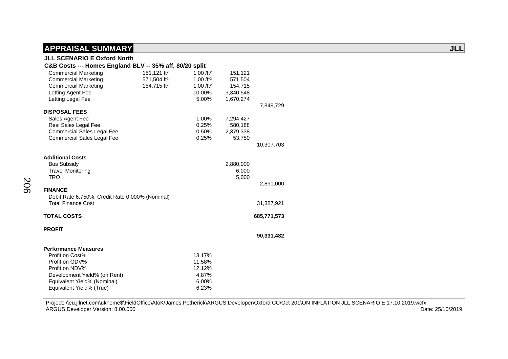### **JLL SCENARIO E Oxford North**

#### **C&B Costs --- Homes England BLV -- 35% aff, 80/20 split**  Commercial Marketing 151,121 ft² 1.00 /ft² 151,121 Commercial Marketing 571,504 ft² 1.00 /ft² 571,504 Commercail Marketing 154,715 ft<sup>2</sup> 1.00 /ft<sup>2</sup> 154,715 Letting Agent Fee 10.00% 3,340,548<br>
Letting Legal Fee 3,000 5.00% 1.670.274 Letting Legal Fee 7,849,729  **DISPOSAL FEES**  Sales Agent Fee 2.00% 7,294,427 Resi Sales Legal Fee 0.25% 580,188 Commercial Sales Legal Fee 0.50% 2,379,338 Commercial Sales Legal Fee 0.25% 53,750 10,307,703  **Additional Costs**  Bus Subsidy 2,880,000 Travel Monitoring 6,000<br>TRO 5,000 TRO 5,000 2,891,000  **FINANCE**  Debit Rate 6.750%, Credit Rate 0.000% (Nominal) Total Finance Cost 31,387,921  **TOTAL COSTS 685,771,573 PROFIT 90,331,482 Performance Measures**  Profit on Cost% 13.17% Profit on GDV% 11.58% Profit on NDV% 12.12% Development Yield% (on Rent) 4.87% Equivalent Yield% (Nominal) 6.00%

Equivalent Yield% (True) 6.23%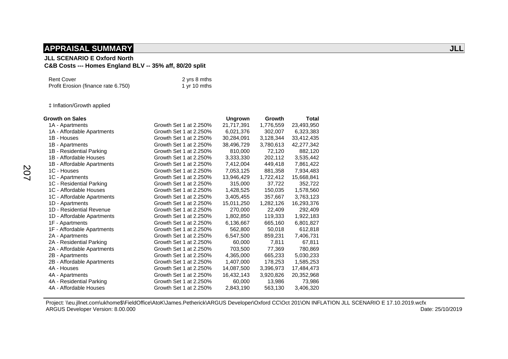### **JLL SCENARIO E Oxford North**

### **C&B Costs --- Homes England BLV -- 35% aff, 80/20 split**

| <b>Rent Cover</b>                   | 2 yrs 8 mths |
|-------------------------------------|--------------|
| Profit Erosion (finance rate 6.750) | 1 yr 10 mths |

‡ Inflation/Growth applied

| <b>Growth on Sales</b>     |                        | <b>Ungrown</b> | Growth    | <b>Total</b> |
|----------------------------|------------------------|----------------|-----------|--------------|
| 1A - Apartments            | Growth Set 1 at 2.250% | 21,717,391     | 1,776,559 | 23,493,950   |
| 1A - Affordable Apartments | Growth Set 1 at 2.250% | 6,021,376      | 302,007   | 6,323,383    |
| 1B - Houses                | Growth Set 1 at 2.250% | 30,284,091     | 3,128,344 | 33,412,435   |
| 1B - Apartments            | Growth Set 1 at 2.250% | 38,496,729     | 3,780,613 | 42,277,342   |
| 1B - Residential Parking   | Growth Set 1 at 2.250% | 810,000        | 72,120    | 882,120      |
| 1B - Affordable Houses     | Growth Set 1 at 2.250% | 3,333,330      | 202,112   | 3,535,442    |
| 1B - Affordable Apartments | Growth Set 1 at 2.250% | 7,412,004      | 449,418   | 7,861,422    |
| 1C - Houses                | Growth Set 1 at 2.250% | 7,053,125      | 881,358   | 7,934,483    |
| 1C - Apartments            | Growth Set 1 at 2.250% | 13,946,429     | 1,722,412 | 15,668,841   |
| 1C - Residential Parking   | Growth Set 1 at 2.250% | 315,000        | 37,722    | 352,722      |
| 1C - Affordable Houses     | Growth Set 1 at 2.250% | 1,428,525      | 150,035   | 1,578,560    |
| 1C - Affordable Apartments | Growth Set 1 at 2.250% | 3,405,455      | 357,667   | 3,763,123    |
| 1D - Apartments            | Growth Set 1 at 2.250% | 15,011,250     | 1,282,126 | 16,293,376   |
| 1D - Residential Revenue   | Growth Set 1 at 2.250% | 270,000        | 22,409    | 292,409      |
| 1D - Affordable Apartments | Growth Set 1 at 2.250% | 1,802,850      | 119,333   | 1,922,183    |
| 1F - Apartments            | Growth Set 1 at 2.250% | 6,136,667      | 665,160   | 6,801,827    |
| 1F - Affordable Apartments | Growth Set 1 at 2.250% | 562,800        | 50,018    | 612,818      |
| 2A - Apartments            | Growth Set 1 at 2.250% | 6,547,500      | 859,231   | 7,406,731    |
| 2A - Residential Parking   | Growth Set 1 at 2.250% | 60,000         | 7,811     | 67,811       |
| 2A - Affordable Apartments | Growth Set 1 at 2.250% | 703,500        | 77,369    | 780,869      |
| 2B - Apartments            | Growth Set 1 at 2.250% | 4,365,000      | 665,233   | 5,030,233    |
| 2B - Affordable Apartments | Growth Set 1 at 2.250% | 1,407,000      | 178,253   | 1,585,253    |
| 4A - Houses                | Growth Set 1 at 2.250% | 14,087,500     | 3,396,973 | 17,484,473   |
| 4A - Apartments            | Growth Set 1 at 2.250% | 16,432,143     | 3,920,826 | 20,352,968   |
| 4A - Residential Parking   | Growth Set 1 at 2.250% | 60,000         | 13,986    | 73,986       |
| 4A - Affordable Houses     | Growth Set 1 at 2.250% | 2,843,190      | 563,130   | 3,406,320    |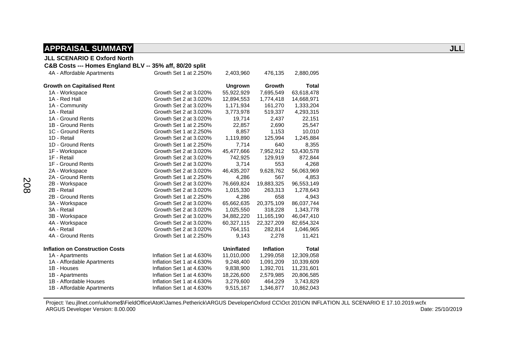#### **JLL SCENARIO E Oxford North**

#### **C&B Costs --- Homes England BLV -- 35% aff, 80/20 split**

| 4A - Affordable Apartments             | Growth Set 1 at 2.250%    | 2,403,960         | 476,135          | 2,880,095    |
|----------------------------------------|---------------------------|-------------------|------------------|--------------|
| <b>Growth on Capitalised Rent</b>      |                           | <b>Ungrown</b>    | Growth           | <b>Total</b> |
| 1A - Workspace                         | Growth Set 2 at 3.020%    | 55,922,929        | 7,695,549        | 63,618,478   |
| 1A - Red Hall                          | Growth Set 2 at 3.020%    | 12,894,553        | 1,774,418        | 14,668,971   |
| 1A - Community                         | Growth Set 2 at 3.020%    | 1,171,934         | 161,270          | 1,333,204    |
| 1A - Retail                            | Growth Set 2 at 3.020%    | 3,773,978         | 519,337          | 4,293,315    |
| 1A - Ground Rents                      | Growth Set 2 at 3.020%    | 19,714            | 2,437            | 22,151       |
| 1B - Ground Rents                      | Growth Set 1 at 2.250%    | 22,857            | 2,690            | 25,547       |
| 1C - Ground Rents                      | Growth Set 1 at 2.250%    | 8,857             | 1,153            | 10,010       |
| 1D - Retail                            | Growth Set 2 at 3.020%    | 1,119,890         | 125,994          | 1,245,884    |
| 1D - Ground Rents                      | Growth Set 1 at 2.250%    | 7,714             | 640              | 8,355        |
| 1F - Workspace                         | Growth Set 2 at 3.020%    | 45,477,666        | 7,952,912        | 53,430,578   |
| 1F - Retail                            | Growth Set 2 at 3.020%    | 742,925           | 129,919          | 872,844      |
| 1F - Ground Rents                      | Growth Set 2 at 3.020%    | 3,714             | 553              | 4,268        |
| 2A - Workspace                         | Growth Set 2 at 3.020%    | 46,435,207        | 9,628,762        | 56,063,969   |
| 2A - Ground Rents                      | Growth Set 1 at 2.250%    | 4,286             | 567              | 4,853        |
| 2B - Workspace                         | Growth Set 2 at 3.020%    | 76,669,824        | 19,883,325       | 96,553,149   |
| 2B - Retail                            | Growth Set 2 at 3.020%    | 1,015,330         | 263,313          | 1,278,643    |
| 2B - Ground Rents                      | Growth Set 1 at 2.250%    | 4,286             | 658              | 4,943        |
| 3A - Workspace                         | Growth Set 2 at 3.020%    | 65,662,635        | 20,375,109       | 86,037,744   |
| 3A - Retail                            | Growth Set 2 at 3.020%    | 1,025,550         | 318,228          | 1,343,778    |
| 3B - Workspace                         | Growth Set 2 at 3.020%    | 34,882,220        | 11,165,190       | 46,047,410   |
| 4A - Workspace                         | Growth Set 2 at 3.020%    | 60,327,115        | 22,327,209       | 82,654,324   |
| 4A - Retail                            | Growth Set 2 at 3.020%    | 764,151           | 282,814          | 1,046,965    |
| 4A - Ground Rents                      | Growth Set 1 at 2.250%    | 9,143             | 2,278            | 11,421       |
| <b>Inflation on Construction Costs</b> |                           | <b>Uninflated</b> | <b>Inflation</b> | <b>Total</b> |
| 1A - Apartments                        | Inflation Set 1 at 4.630% | 11,010,000        | 1,299,058        | 12,309,058   |
| 1A - Affordable Apartments             | Inflation Set 1 at 4.630% | 9,248,400         | 1,091,209        | 10,339,609   |
| 1B - Houses                            | Inflation Set 1 at 4.630% | 9,838,900         | 1,392,701        | 11,231,601   |
| 1B - Apartments                        | Inflation Set 1 at 4.630% | 18,226,600        | 2,579,985        | 20,806,585   |
| 1B - Affordable Houses                 | Inflation Set 1 at 4.630% | 3,279,600         | 464,229          | 3,743,829    |
| 1B - Affordable Apartments             | Inflation Set 1 at 4.630% | 9,515,167         | 1,346,877        | 10,862,043   |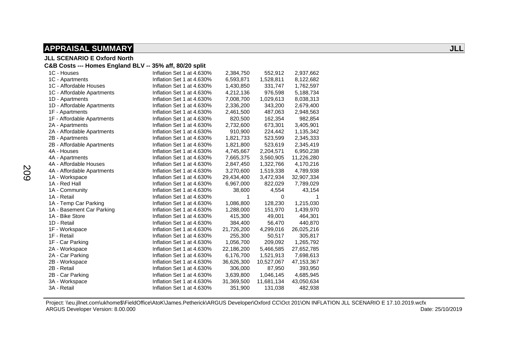**JLL SCENARIO E Oxford North** 

#### **C&B Costs --- Homes England BLV -- 35% aff, 80/20 split**

| 1C - Houses                | Inflation Set 1 at 4.630% | 2,384,750  | 552,912    | 2,937,662  |
|----------------------------|---------------------------|------------|------------|------------|
| 1C - Apartments            | Inflation Set 1 at 4.630% | 6,593,871  | 1,528,811  | 8,122,682  |
| 1C - Affordable Houses     | Inflation Set 1 at 4.630% | 1,430,850  | 331,747    | 1,762,597  |
| 1C - Affordable Apartments | Inflation Set 1 at 4.630% | 4,212,136  | 976,598    | 5,188,734  |
| 1D - Apartments            | Inflation Set 1 at 4.630% | 7,008,700  | 1,029,613  | 8,038,313  |
| 1D - Affordable Apartments | Inflation Set 1 at 4.630% | 2,336,200  | 343,200    | 2,679,400  |
| 1F - Apartments            | Inflation Set 1 at 4.630% | 2,461,500  | 487,063    | 2,948,563  |
| 1F - Affordable Apartments | Inflation Set 1 at 4.630% | 820,500    | 162,354    | 982,854    |
| 2A - Apartments            | Inflation Set 1 at 4.630% | 2,732,600  | 673,301    | 3,405,901  |
| 2A - Affordable Apartments | Inflation Set 1 at 4.630% | 910,900    | 224,442    | 1,135,342  |
| 2B - Apartments            | Inflation Set 1 at 4.630% | 1,821,733  | 523,599    | 2,345,333  |
| 2B - Affordable Apartments | Inflation Set 1 at 4.630% | 1,821,800  | 523,619    | 2,345,419  |
| 4A - Houses                | Inflation Set 1 at 4.630% | 4,745,667  | 2,204,571  | 6,950,238  |
| 4A - Apartments            | Inflation Set 1 at 4.630% | 7,665,375  | 3,560,905  | 11,226,280 |
| 4A - Affordable Houses     | Inflation Set 1 at 4.630% | 2,847,450  | 1,322,766  | 4,170,216  |
| 4A - Affordable Apartments | Inflation Set 1 at 4.630% | 3,270,600  | 1,519,338  | 4,789,938  |
| 1A - Workspace             | Inflation Set 1 at 4.630% | 29,434,400 | 3,472,934  | 32,907,334 |
| 1A - Red Hall              | Inflation Set 1 at 4.630% | 6,967,000  | 822,029    | 7,789,029  |
| 1A - Community             | Inflation Set 1 at 4.630% | 38,600     | 4,554      | 43,154     |
| 1A - Retail                | Inflation Set 1 at 4.630% | 1          | 0          |            |
| 1A - Temp Car Parking      | Inflation Set 1 at 4.630% | 1,086,800  | 128,230    | 1,215,030  |
| 1A - Basement Car Parking  | Inflation Set 1 at 4.630% | 1,288,000  | 151,970    | 1,439,970  |
| 1A - Bike Store            | Inflation Set 1 at 4.630% | 415,300    | 49,001     | 464,301    |
| 1D - Retail                | Inflation Set 1 at 4.630% | 384,400    | 56,470     | 440,870    |
| 1F - Workspace             | Inflation Set 1 at 4.630% | 21,726,200 | 4,299,016  | 26,025,216 |
| 1F - Retail                | Inflation Set 1 at 4.630% | 255,300    | 50,517     | 305,817    |
| 1F - Car Parking           | Inflation Set 1 at 4.630% | 1,056,700  | 209,092    | 1,265,792  |
| 2A - Workspace             | Inflation Set 1 at 4.630% | 22,186,200 | 5,466,585  | 27,652,785 |
| 2A - Car Parking           | Inflation Set 1 at 4.630% | 6,176,700  | 1,521,913  | 7,698,613  |
| 2B - Workspace             | Inflation Set 1 at 4.630% | 36,626,300 | 10,527,067 | 47,153,367 |
| 2B - Retail                | Inflation Set 1 at 4.630% | 306,000    | 87,950     | 393,950    |
| 2B - Car Parking           | Inflation Set 1 at 4.630% | 3,639,800  | 1,046,145  | 4,685,945  |
| 3A - Workspace             | Inflation Set 1 at 4.630% | 31,369,500 | 11,681,134 | 43,050,634 |
| 3A - Retail                | Inflation Set 1 at 4.630% | 351,900    | 131,038    | 482,938    |
|                            |                           |            |            |            |